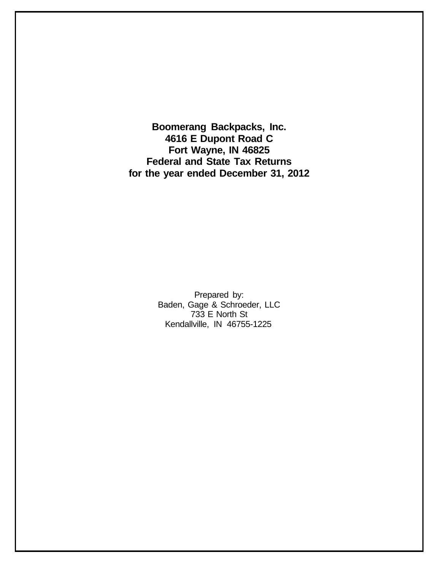**Boomerang Backpacks, Inc. 4616 E Dupont Road C Fort Wayne, IN 46825 Federal and State Tax Returns for the year ended December 31, 2012**

> Prepared by: Baden, Gage & Schroeder, LLC 733 E North St Kendallville, IN 46755-1225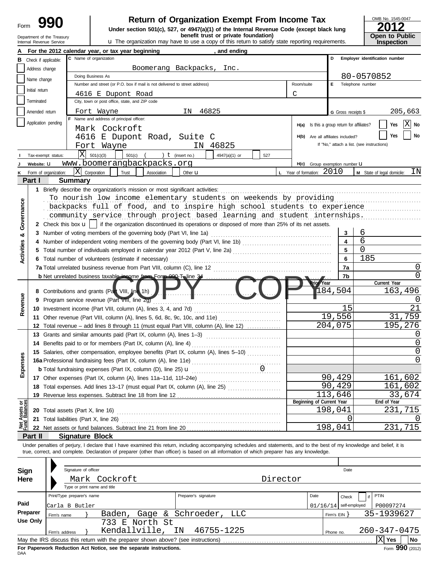# **990** Return of Organization Exempt From Income Tax **Physical Sum Beturn of Organization Exempt From Income Tax 1545-0012**<br>
Under section 501(c), 527, or 4947(a)(1) of the Internal Revenue Code (except black lung **2012**

Departiment of the Treasury **but the organization may have to use a copy of this return to satisfy state reporting requirements. <b>Open to Public**<br>Internal Revenue Service **inspection interval and the organization may hav** 

| OMB No. 1545-0047     |
|-----------------------|
| 2012                  |
|                       |
| <b>Open to Public</b> |
| <b>Inspection</b>     |

|                   | Department of the Treasury<br>Internal Revenue Service |                                        |                                                                                   | benefit trust or private foundation)<br><b>u</b> The organization may have to use a copy of this return to satisfy state reporting requirements.                           |                                    |                                            | <b>Open to Public</b><br><b>Inspection</b> |
|-------------------|--------------------------------------------------------|----------------------------------------|-----------------------------------------------------------------------------------|----------------------------------------------------------------------------------------------------------------------------------------------------------------------------|------------------------------------|--------------------------------------------|--------------------------------------------|
|                   |                                                        |                                        | For the 2012 calendar year, or tax year beginning                                 | , and ending                                                                                                                                                               |                                    |                                            |                                            |
| в                 | Check if applicable:                                   |                                        | C Name of organization                                                            |                                                                                                                                                                            |                                    | D                                          | Employer identification number             |
|                   | Address change                                         |                                        |                                                                                   | Boomerang Backpacks, Inc.                                                                                                                                                  |                                    |                                            |                                            |
|                   |                                                        |                                        | Doing Business As                                                                 |                                                                                                                                                                            |                                    |                                            | 80-0570852                                 |
|                   | Name change                                            |                                        | Number and street (or P.O. box if mail is not delivered to street address)        |                                                                                                                                                                            | Room/suite                         | Е<br>Telephone number                      |                                            |
|                   | Initial return                                         |                                        | 4616 E Dupont Road                                                                |                                                                                                                                                                            | C                                  |                                            |                                            |
|                   | Terminated                                             |                                        | City, town or post office, state, and ZIP code                                    |                                                                                                                                                                            |                                    |                                            |                                            |
|                   | Amended return                                         |                                        | Fort Wayne                                                                        | 46825<br>ΙN                                                                                                                                                                |                                    | G Gross receipts \$                        | 205,663                                    |
|                   |                                                        |                                        | F Name and address of principal officer:                                          |                                                                                                                                                                            |                                    |                                            |                                            |
|                   | Application pending                                    |                                        | Mark Cockroft                                                                     |                                                                                                                                                                            | H(a)                               | Is this a group return for affiliates?     | $ \mathrm{X} $<br>Yes<br>No                |
|                   |                                                        |                                        | 4616 E Dupont Road, Suite C                                                       |                                                                                                                                                                            | H(b)                               | Are all affiliates included?               | No<br>Yes                                  |
|                   |                                                        |                                        |                                                                                   | 46825<br>IN.                                                                                                                                                               |                                    | If "No," attach a list. (see instructions) |                                            |
|                   |                                                        | ΙXΙ                                    | Fort Wayne                                                                        |                                                                                                                                                                            |                                    |                                            |                                            |
|                   | Tax-exempt status:                                     |                                        | 501(c)(3)<br>$501(c)$ (                                                           | ) $t$ (insert no.)<br>4947(a)(1) or<br>527                                                                                                                                 |                                    |                                            |                                            |
|                   | Website: U                                             |                                        | www.boomerangbackpacks.org                                                        |                                                                                                                                                                            |                                    | H(c) Group exemption number LI             |                                            |
|                   | Form of organization:                                  | X                                      | Corporation<br>Trust<br>Association                                               | Other <b>u</b>                                                                                                                                                             | <b>L</b> Year of formation: $2010$ |                                            | ΙN<br>M State of legal domicile:           |
|                   | Part I                                                 | <b>Summary</b>                         |                                                                                   |                                                                                                                                                                            |                                    |                                            |                                            |
|                   |                                                        |                                        | 1 Briefly describe the organization's mission or most significant activities:     |                                                                                                                                                                            |                                    |                                            |                                            |
|                   |                                                        |                                        |                                                                                   | To nourish low income elementary students on weekends by providing                                                                                                         |                                    |                                            |                                            |
|                   |                                                        |                                        |                                                                                   | backpacks full of food, and to inspire high school students to experience                                                                                                  |                                    |                                            |                                            |
| Governance        |                                                        |                                        |                                                                                   | community service through project based learning and student internships.                                                                                                  |                                    |                                            |                                            |
|                   |                                                        |                                        |                                                                                   | 2 Check this box $\mathbf{u}$   if the organization discontinued its operations or disposed of more than 25% of its net assets.                                            |                                    |                                            |                                            |
| ಯ                 | 3                                                      |                                        | Number of voting members of the governing body (Part VI, line 1a)                 |                                                                                                                                                                            |                                    | 3                                          | 6                                          |
| <b>Activities</b> |                                                        |                                        |                                                                                   | Number of independent voting members of the governing body (Part VI, line 1b) [11] [11] [11] [11] [11] [11] [1                                                             |                                    | 4                                          | 6                                          |
|                   |                                                        |                                        |                                                                                   |                                                                                                                                                                            |                                    | 5                                          | $\Omega$                                   |
|                   |                                                        |                                        | 6 Total number of volunteers (estimate if necessary)                              |                                                                                                                                                                            |                                    | 6                                          | 185                                        |
|                   |                                                        |                                        | 7a Total unrelated business revenue from Part VIII, column (C), line 12           |                                                                                                                                                                            |                                    | 7a                                         | O                                          |
|                   |                                                        |                                        | <b>b</b> Net unrelated business taxable income from Form 990-T, line 3#           |                                                                                                                                                                            |                                    | 7b                                         | O                                          |
|                   |                                                        |                                        |                                                                                   |                                                                                                                                                                            | <b>kior</b> Year                   |                                            | Current Year                               |
|                   |                                                        |                                        | 8 Contributions and grants (Part VIII, line 1h)                                   |                                                                                                                                                                            |                                    | 184,504                                    | 163,496                                    |
| Revenue           |                                                        |                                        | 9 Program service revenue (Part VIII, line 2g)                                    |                                                                                                                                                                            |                                    |                                            | $\left( \right)$                           |
|                   |                                                        |                                        | 10 Investment income (Part VIII, column (A), lines 3, 4, and 7d)                  |                                                                                                                                                                            |                                    | 15                                         | 21                                         |
|                   |                                                        |                                        | 11 Other revenue (Part VIII, column (A), lines 5, 6d, 8c, 9c, 10c, and 11e)       |                                                                                                                                                                            |                                    | 19,556                                     | 31,759                                     |
|                   |                                                        |                                        |                                                                                   | 12 Total revenue - add lines 8 through 11 (must equal Part VIII, column (A), line 12)                                                                                      |                                    | 204,075                                    | 195,276                                    |
|                   |                                                        |                                        | 13 Grants and similar amounts paid (Part IX, column (A), lines 1-3)               |                                                                                                                                                                            |                                    |                                            | $\left( \right)$                           |
|                   |                                                        |                                        | 14 Benefits paid to or for members (Part IX, column (A), line 4)                  |                                                                                                                                                                            |                                    |                                            | 0                                          |
| s                 |                                                        |                                        |                                                                                   | 15 Salaries, other compensation, employee benefits (Part IX, column (A), lines 5-10)                                                                                       |                                    |                                            | 0                                          |
| Expense           |                                                        |                                        |                                                                                   |                                                                                                                                                                            |                                    |                                            | 0                                          |
|                   |                                                        |                                        |                                                                                   |                                                                                                                                                                            |                                    |                                            |                                            |
|                   |                                                        |                                        |                                                                                   |                                                                                                                                                                            |                                    | 90,429                                     | 161,602                                    |
|                   |                                                        |                                        |                                                                                   | 18 Total expenses. Add lines 13-17 (must equal Part IX, column (A), line 25)                                                                                               |                                    | 90,429                                     | 161,602                                    |
|                   |                                                        |                                        | 19 Revenue less expenses. Subtract line 18 from line 12                           |                                                                                                                                                                            |                                    | 113,646                                    | 33,674                                     |
| Net Assets or     |                                                        |                                        |                                                                                   |                                                                                                                                                                            | Beginning of Current Year          |                                            | End of Year                                |
|                   |                                                        | 20 Total assets (Part X, line 16)      |                                                                                   |                                                                                                                                                                            |                                    | 198,041                                    | 231,715                                    |
|                   |                                                        | 21 Total liabilities (Part X, line 26) |                                                                                   |                                                                                                                                                                            |                                    | $\left($                                   |                                            |
|                   |                                                        |                                        |                                                                                   |                                                                                                                                                                            |                                    | 198,041                                    | 231,715                                    |
|                   | Part II                                                | <b>Signature Block</b>                 |                                                                                   |                                                                                                                                                                            |                                    |                                            |                                            |
|                   |                                                        |                                        |                                                                                   | Under penalties of perjury, I declare that I have examined this return, including accompanying schedules and statements, and to the best of my knowledge and belief, it is |                                    |                                            |                                            |
|                   |                                                        |                                        |                                                                                   | true, correct, and complete. Declaration of preparer (other than officer) is based on all information of which preparer has any knowledge.                                 |                                    |                                            |                                            |
|                   |                                                        |                                        |                                                                                   |                                                                                                                                                                            |                                    |                                            |                                            |
| Sign              |                                                        | Signature of officer                   |                                                                                   |                                                                                                                                                                            |                                    | Date                                       |                                            |
| Here              |                                                        |                                        | Mark Cockroft                                                                     | Director                                                                                                                                                                   |                                    |                                            |                                            |
|                   |                                                        | Type or print name and title           |                                                                                   |                                                                                                                                                                            |                                    |                                            |                                            |
|                   |                                                        | Print/Type preparer's name             |                                                                                   | Preparer's signature                                                                                                                                                       | Date                               | Check                                      | PTIN<br>if                                 |
| Paid              |                                                        | Carla B Butler                         |                                                                                   |                                                                                                                                                                            |                                    | $01/16/14$ self-employed                   | P00097274                                  |
|                   | Preparer                                               | Firm's name                            | Baden, Gage &                                                                     | Schroeder,<br>LLC                                                                                                                                                          |                                    | Firm's $EIN$ }                             | 35-1939627                                 |
|                   | <b>Use Only</b>                                        |                                        | 733 E North St                                                                    |                                                                                                                                                                            |                                    |                                            |                                            |
|                   |                                                        | Firm's address                         | Kendallville,                                                                     | 46755-1225<br>IN                                                                                                                                                           |                                    | Phone no.                                  | 260-347-0475                               |
|                   |                                                        |                                        | May the IRS discuss this return with the preparer shown above? (see instructions) |                                                                                                                                                                            |                                    |                                            | $ X $ Yes<br>No                            |

| Sign<br>Here     |                                                             | Signature of officer | Mark Cockroft<br>Type or print name and title                                                                                                          |                                                  | Director |      |                   | Date                              |                           |                                             |    |
|------------------|-------------------------------------------------------------|----------------------|--------------------------------------------------------------------------------------------------------------------------------------------------------|--------------------------------------------------|----------|------|-------------------|-----------------------------------|---------------------------|---------------------------------------------|----|
| Paid<br>Preparer | Print/Type preparer's name<br>Carla B Butler<br>Firm's name |                      | Baden,                                                                                                                                                 | Preparer's signature<br>Gage & Schroeder,<br>LLC |          | Date | Firm's $EIN$ $\}$ | Check<br>$01/16/14$ self-employed | <b>PTIN</b><br>35-1939627 | P00097274                                   |    |
| Use Only         | Firm's address                                              |                      | 733 E North St<br>Kendallville, IN                                                                                                                     | 46755-1225                                       |          |      | Phone no.         |                                   | 260-347-0475              |                                             |    |
|                  |                                                             |                      | May the IRS discuss this return with the preparer shown above? (see instructions)<br>For Panerwork Peduction Act Notice, see the senarate instructions |                                                  |          |      |                   |                                   |                           | <b>Yes</b><br>$F_{\text{max}}$ QQ0 $(2042)$ | No |

**For F**<br>DAA **For Paperwork Reduction Act Notice, see the separate instructions.**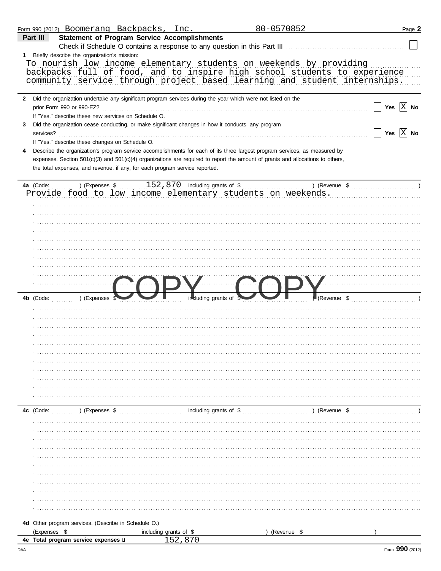|   | Form 990 (2012) Boomerang Backpacks, Inc.                                                                                                 |                        |                        | 80-0570852    | Page 2       |
|---|-------------------------------------------------------------------------------------------------------------------------------------------|------------------------|------------------------|---------------|--------------|
|   | <b>Statement of Program Service Accomplishments</b><br>Part III                                                                           |                        |                        |               |              |
|   | Check if Schedule O contains a response to any question in this Part III                                                                  |                        |                        |               |              |
|   | 1 Briefly describe the organization's mission:                                                                                            |                        |                        |               |              |
|   | To nourish low income elementary students on weekends by providing                                                                        |                        |                        |               |              |
|   | backpacks full of food, and to inspire high school students to experience                                                                 |                        |                        |               |              |
|   | community service through project based learning and student internships.                                                                 |                        |                        |               |              |
|   |                                                                                                                                           |                        |                        |               |              |
|   | 2 Did the organization undertake any significant program services during the year which were not listed on the                            |                        |                        |               |              |
|   | prior Form 990 or 990-EZ?                                                                                                                 |                        |                        |               | Yes $ X $ No |
|   | If "Yes," describe these new services on Schedule O.                                                                                      |                        |                        |               |              |
| 3 | Did the organization cease conducting, or make significant changes in how it conducts, any program                                        |                        |                        |               |              |
|   | services?                                                                                                                                 |                        |                        |               | Yes $ X $ No |
|   | If "Yes," describe these changes on Schedule O.                                                                                           |                        |                        |               |              |
|   | Describe the organization's program service accomplishments for each of its three largest program services, as measured by                |                        |                        |               |              |
|   | expenses. Section 501(c)(3) and 501(c)(4) organizations are required to report the amount of grants and allocations to others,            |                        |                        |               |              |
|   | the total expenses, and revenue, if any, for each program service reported.                                                               |                        |                        |               |              |
|   |                                                                                                                                           |                        |                        |               |              |
|   | a (Code: ) (Expenses \$ 152,870 including grants of \$ ) (Revert Provide food to low income elementary students on weekends.<br>4a (Code: |                        |                        | ) (Revenue \$ |              |
|   |                                                                                                                                           |                        |                        |               |              |
|   |                                                                                                                                           |                        |                        |               |              |
|   |                                                                                                                                           |                        |                        |               |              |
|   |                                                                                                                                           |                        |                        |               |              |
|   |                                                                                                                                           |                        |                        |               |              |
|   |                                                                                                                                           |                        |                        |               |              |
|   |                                                                                                                                           |                        |                        |               |              |
|   |                                                                                                                                           |                        |                        |               |              |
|   |                                                                                                                                           |                        |                        |               |              |
|   |                                                                                                                                           |                        |                        |               |              |
|   |                                                                                                                                           |                        |                        |               |              |
|   |                                                                                                                                           |                        |                        |               |              |
|   |                                                                                                                                           |                        |                        |               |              |
|   | 4b (Code:<br>) (Expenses                                                                                                                  |                        | including grants of    | (Revenue \$   |              |
|   |                                                                                                                                           |                        |                        |               |              |
|   |                                                                                                                                           |                        |                        |               |              |
|   |                                                                                                                                           |                        |                        |               |              |
|   |                                                                                                                                           |                        |                        |               |              |
|   |                                                                                                                                           |                        |                        |               |              |
|   |                                                                                                                                           |                        |                        |               |              |
|   |                                                                                                                                           |                        |                        |               |              |
|   |                                                                                                                                           |                        |                        |               |              |
|   |                                                                                                                                           |                        |                        |               |              |
|   |                                                                                                                                           |                        |                        |               |              |
|   |                                                                                                                                           |                        |                        |               |              |
|   |                                                                                                                                           |                        |                        |               |              |
|   | 4c (Code:<br>) (Expenses \$                                                                                                               |                        | including grants of \$ | ) (Revenue \$ |              |
|   |                                                                                                                                           |                        |                        |               |              |
|   |                                                                                                                                           |                        |                        |               |              |
|   |                                                                                                                                           |                        |                        |               |              |
|   |                                                                                                                                           |                        |                        |               |              |
|   |                                                                                                                                           |                        |                        |               |              |
|   |                                                                                                                                           |                        |                        |               |              |
|   |                                                                                                                                           |                        |                        |               |              |
|   |                                                                                                                                           |                        |                        |               |              |
|   |                                                                                                                                           |                        |                        |               |              |
|   |                                                                                                                                           |                        |                        |               |              |
|   |                                                                                                                                           |                        |                        |               |              |
|   |                                                                                                                                           |                        |                        |               |              |
|   | 4d Other program services. (Describe in Schedule O.)                                                                                      |                        |                        |               |              |
|   | (Expenses \$                                                                                                                              | including grants of \$ |                        | (Revenue \$   |              |
|   | 4e Total program service expenses u                                                                                                       | 152.870                |                        |               |              |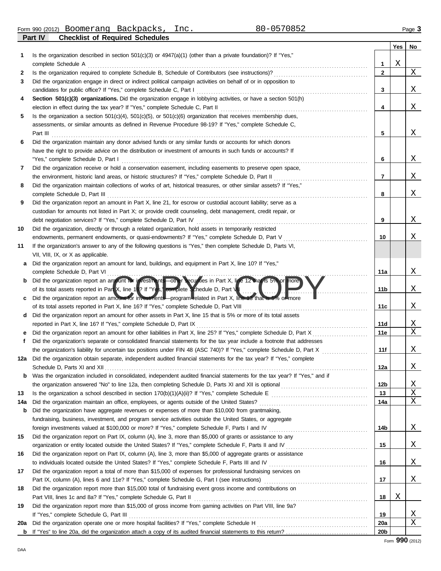**Part IV Checklist of Required Schedules** Form 990 (2012) Page **3** Boomerang Backpacks, Inc. 80-0570852

|     |                                                                                                                            |                 | Yes | No            |
|-----|----------------------------------------------------------------------------------------------------------------------------|-----------------|-----|---------------|
| 1   | Is the organization described in section $501(c)(3)$ or $4947(a)(1)$ (other than a private foundation)? If "Yes,"          |                 |     |               |
|     | complete Schedule A                                                                                                        | 1               | Χ   |               |
| 2   | Is the organization required to complete Schedule B, Schedule of Contributors (see instructions)?                          | $\mathbf{2}$    |     | Χ             |
| 3   | Did the organization engage in direct or indirect political campaign activities on behalf of or in opposition to           |                 |     |               |
|     | candidates for public office? If "Yes," complete Schedule C, Part I                                                        | 3               |     | Χ             |
| 4   | Section 501(c)(3) organizations. Did the organization engage in lobbying activities, or have a section 501(h)              |                 |     |               |
|     | election in effect during the tax year? If "Yes," complete Schedule C, Part II                                             | 4               |     | Χ             |
| 5   | Is the organization a section $501(c)(4)$ , $501(c)(5)$ , or $501(c)(6)$ organization that receives membership dues,       |                 |     |               |
|     | assessments, or similar amounts as defined in Revenue Procedure 98-19? If "Yes," complete Schedule C,                      |                 |     |               |
|     | Part III                                                                                                                   | 5               |     | Χ             |
| 6   | Did the organization maintain any donor advised funds or any similar funds or accounts for which donors                    |                 |     |               |
|     | have the right to provide advice on the distribution or investment of amounts in such funds or accounts? If                |                 |     |               |
|     | "Yes," complete Schedule D, Part I                                                                                         | 6               |     | Χ             |
| 7   | Did the organization receive or hold a conservation easement, including easements to preserve open space,                  |                 |     |               |
|     | the environment, historic land areas, or historic structures? If "Yes," complete Schedule D, Part II                       | 7               |     | Χ             |
| 8   | Did the organization maintain collections of works of art, historical treasures, or other similar assets? If "Yes,"        |                 |     |               |
|     | complete Schedule D, Part III                                                                                              | 8               |     | Χ             |
| 9   | Did the organization report an amount in Part X, line 21, for escrow or custodial account liability; serve as a            |                 |     |               |
|     | custodian for amounts not listed in Part X; or provide credit counseling, debt management, credit repair, or               |                 |     |               |
|     | debt negotiation services? If "Yes," complete Schedule D, Part IV                                                          | 9               |     | Χ             |
| 10  | Did the organization, directly or through a related organization, hold assets in temporarily restricted                    |                 |     |               |
|     | endowments, permanent endowments, or quasi-endowments? If "Yes," complete Schedule D, Part V                               | 10              |     | Χ             |
| 11  | If the organization's answer to any of the following questions is "Yes," then complete Schedule D, Parts VI,               |                 |     |               |
|     | VII, VIII, IX, or X as applicable.                                                                                         |                 |     |               |
| a   | Did the organization report an amount for land, buildings, and equipment in Part X, line 10? If "Yes,"                     |                 |     |               |
|     | complete Schedule D, Part VI                                                                                               | 11a             |     | Χ             |
| b   | Did the organization report an amount for investments other securities in Part X, line 12 that is 5% or more               |                 |     |               |
|     | of its total assets reported in Part X, line 16? If "Yes," complete Schedule D, Part VII                                   | 11b             |     | Χ             |
| c   | Did the organization report an amount for investments—program related in Part X, line 13 that is 5% of more                |                 |     |               |
|     | of its total assets reported in Part X, line 16? If "Yes," complete Schedule D, Part VIII                                  | 11c             |     | Χ             |
| d   | Did the organization report an amount for other assets in Part X, line 15 that is 5% or more of its total assets           |                 |     |               |
|     | reported in Part X, line 16? If "Yes," complete Schedule D, Part IX                                                        | 11d             |     | Χ<br>X        |
|     | Did the organization report an amount for other liabilities in Part X, line 25? If "Yes," complete Schedule D, Part X      | 11e             |     |               |
| f   | Did the organization's separate or consolidated financial statements for the tax year include a footnote that addresses    |                 |     |               |
|     | the organization's liability for uncertain tax positions under FIN 48 (ASC 740)? If "Yes," complete Schedule D, Part X     | 11f             |     | Χ             |
|     | 12a Did the organization obtain separate, independent audited financial statements for the tax year? If "Yes," complete    |                 |     |               |
|     |                                                                                                                            | 12a             |     | $\mathbf X$   |
| b   | Was the organization included in consolidated, independent audited financial statements for the tax year? If "Yes," and if |                 |     |               |
|     |                                                                                                                            | 12b<br>13       |     | <u>X</u><br>Χ |
| 13  | Did the organization maintain an office, employees, or agents outside of the United States?                                | 14a             |     | Χ             |
| 14a | Did the organization have aggregate revenues or expenses of more than \$10,000 from grantmaking,                           |                 |     |               |
| b   | fundraising, business, investment, and program service activities outside the United States, or aggregate                  |                 |     |               |
|     | foreign investments valued at \$100,000 or more? If "Yes," complete Schedule F, Parts I and IV                             | 14b             |     | Χ             |
| 15  | Did the organization report on Part IX, column (A), line 3, more than \$5,000 of grants or assistance to any               |                 |     |               |
|     |                                                                                                                            | 15              |     | Χ             |
| 16  | Did the organization report on Part IX, column (A), line 3, more than \$5,000 of aggregate grants or assistance            |                 |     |               |
|     | to individuals located outside the United States? If "Yes," complete Schedule F, Parts III and IV                          | 16              |     | Χ             |
| 17  | Did the organization report a total of more than \$15,000 of expenses for professional fundraising services on             |                 |     |               |
|     |                                                                                                                            | 17              |     | Χ             |
| 18  | Did the organization report more than \$15,000 total of fundraising event gross income and contributions on                |                 |     |               |
|     | Part VIII, lines 1c and 8a? If "Yes," complete Schedule G, Part II                                                         | 18              | Χ   |               |
| 19  | Did the organization report more than \$15,000 of gross income from gaming activities on Part VIII, line 9a?               |                 |     |               |
|     | If "Yes," complete Schedule G, Part III                                                                                    | 19              |     | X             |
| 20a | Did the organization operate one or more hospital facilities? If "Yes," complete Schedule H                                | 20a             |     | Χ             |
|     |                                                                                                                            | 20 <sub>b</sub> |     |               |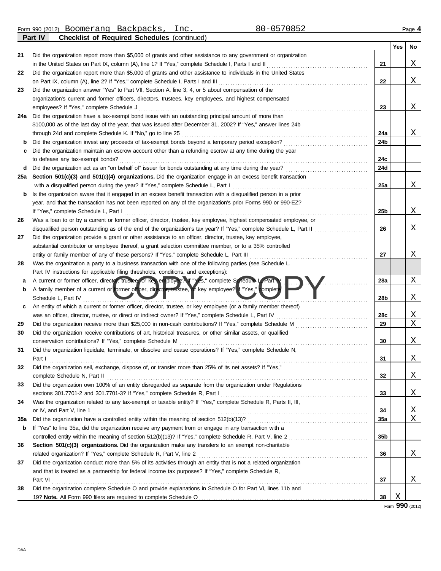Form 990 (2012) Boomerang Backpacks, Inc.  $80-0570852$  Page 4 Boomerang Backpacks, Inc. 80-0570852

|     | Part IV<br><b>Checklist of Required Schedules (continued)</b>                                                         |     |     |             |
|-----|-----------------------------------------------------------------------------------------------------------------------|-----|-----|-------------|
|     |                                                                                                                       |     | Yes | No          |
| 21  | Did the organization report more than \$5,000 of grants and other assistance to any government or organization        |     |     |             |
|     | in the United States on Part IX, column (A), line 1? If "Yes," complete Schedule I, Parts I and II                    | 21  |     | Χ           |
| 22  | Did the organization report more than \$5,000 of grants and other assistance to individuals in the United States      |     |     |             |
|     | on Part IX, column (A), line 2? If "Yes," complete Schedule I, Parts I and III                                        | 22  |     | Χ           |
| 23  | Did the organization answer "Yes" to Part VII, Section A, line 3, 4, or 5 about compensation of the                   |     |     |             |
|     | organization's current and former officers, directors, trustees, key employees, and highest compensated               |     |     |             |
|     | employees? If "Yes," complete Schedule J                                                                              | 23  |     | Χ           |
| 24a | Did the organization have a tax-exempt bond issue with an outstanding principal amount of more than                   |     |     |             |
|     | \$100,000 as of the last day of the year, that was issued after December 31, 2002? If "Yes," answer lines 24b         |     |     |             |
|     | through 24d and complete Schedule K. If "No," go to line 25                                                           | 24a |     | Χ           |
| b   | Did the organization invest any proceeds of tax-exempt bonds beyond a temporary period exception?                     | 24b |     |             |
| c   | Did the organization maintain an escrow account other than a refunding escrow at any time during the year             |     |     |             |
|     | to defease any tax-exempt bonds?                                                                                      | 24c |     |             |
| d   | Did the organization act as an "on behalf of" issuer for bonds outstanding at any time during the year?               | 24d |     |             |
| 25a | Section 501(c)(3) and 501(c)(4) organizations. Did the organization engage in an excess benefit transaction           |     |     |             |
|     | with a disqualified person during the year? If "Yes," complete Schedule L, Part I                                     | 25a |     | Χ           |
| b   | Is the organization aware that it engaged in an excess benefit transaction with a disqualified person in a prior      |     |     |             |
|     | year, and that the transaction has not been reported on any of the organization's prior Forms 990 or 990-EZ?          |     |     |             |
|     | If "Yes," complete Schedule L, Part I                                                                                 | 25b |     | Χ           |
| 26  | Was a loan to or by a current or former officer, director, trustee, key employee, highest compensated employee, or    |     |     |             |
|     | disqualified person outstanding as of the end of the organization's tax year? If "Yes," complete Schedule L, Part II  | 26  |     | Χ           |
| 27  | Did the organization provide a grant or other assistance to an officer, director, trustee, key employee,              |     |     |             |
|     | substantial contributor or employee thereof, a grant selection committee member, or to a 35% controlled               |     |     |             |
|     | entity or family member of any of these persons? If "Yes," complete Schedule L, Part III                              | 27  |     | Χ           |
| 28  | Was the organization a party to a business transaction with one of the following parties (see Schedule L,             |     |     |             |
|     | Part IV instructions for applicable filing thresholds, conditions, and exceptions):                                   |     |     |             |
| а   | A current or former officer, director, trustee, or key employee? If "Yes," complete Schedule L. Part I                | 28a |     | Χ           |
| b   | A family member of a current or former officer, director, trustee, of key employee? If "Yes," complete                |     |     |             |
|     | Schedule L, Part IV                                                                                                   | 28b |     | Χ           |
| c   | An entity of which a current or former officer, director, trustee, or key employee (or a family member thereof)       |     |     |             |
|     | was an officer, director, trustee, or direct or indirect owner? If "Yes," complete Schedule L, Part IV                | 28c |     | Χ           |
| 29  | Did the organization receive more than \$25,000 in non-cash contributions? If "Yes," complete Schedule M              | 29  |     | $\mathbf X$ |
| 30  | Did the organization receive contributions of art, historical treasures, or other similar assets, or qualified        |     |     |             |
|     | conservation contributions? If "Yes," complete Schedule M                                                             | 30  |     | X           |
| 31  | Did the organization liquidate, terminate, or dissolve and cease operations? If "Yes," complete Schedule N,           |     |     |             |
|     | Part I                                                                                                                | 31  |     | <u>х</u>    |
| 32  | Did the organization sell, exchange, dispose of, or transfer more than 25% of its net assets? If "Yes,"               |     |     |             |
|     | complete Schedule N, Part II                                                                                          | 32  |     | Χ           |
| 33  | Did the organization own 100% of an entity disregarded as separate from the organization under Regulations            |     |     |             |
|     | sections 301.7701-2 and 301.7701-3? If "Yes," complete Schedule R, Part I                                             | 33  |     | Χ           |
| 34  | Was the organization related to any tax-exempt or taxable entity? If "Yes," complete Schedule R, Parts II, III,       |     |     |             |
|     | or IV, and Part V, line 1                                                                                             | 34  |     | Χ           |
| 35a |                                                                                                                       | 35a |     | Χ           |
| b   | If "Yes" to line 35a, did the organization receive any payment from or engage in any transaction with a               |     |     |             |
|     |                                                                                                                       | 35b |     |             |
| 36  | Section 501(c)(3) organizations. Did the organization make any transfers to an exempt non-charitable                  |     |     |             |
|     | related organization? If "Yes," complete Schedule R, Part V, line 2                                                   | 36  |     | Χ           |
| 37  | Did the organization conduct more than 5% of its activities through an entity that is not a related organization      |     |     |             |
|     | and that is treated as a partnership for federal income tax purposes? If "Yes," complete Schedule R,                  |     |     |             |
|     |                                                                                                                       |     |     | X           |
|     | Part VI<br>Did the organization complete Schedule O and provide explanations in Schedule O for Part VI, lines 11b and | 37  |     |             |
| 38  |                                                                                                                       | 38  | Χ   |             |
|     |                                                                                                                       |     |     |             |

Form **990** (2012)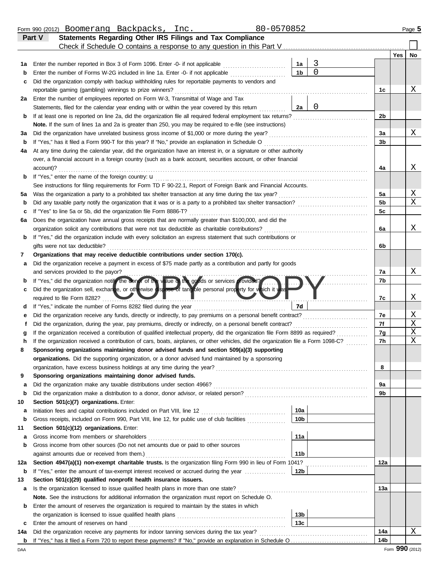|         | 80-0570852<br>Form 990 (2012) Boomerang Backpacks, Inc.                                                                                                                          |                        |                |                |     | Page 5      |
|---------|----------------------------------------------------------------------------------------------------------------------------------------------------------------------------------|------------------------|----------------|----------------|-----|-------------|
|         | Statements Regarding Other IRS Filings and Tax Compliance<br>Part V                                                                                                              |                        |                |                |     |             |
|         | Check if Schedule O contains a response to any question in this Part V                                                                                                           |                        |                |                |     |             |
|         |                                                                                                                                                                                  |                        |                |                | Yes | No          |
| 1a      | Enter the number reported in Box 3 of Form 1096. Enter -0- if not applicable [11] [11] Enter the number reported in Box 3 of Form 1096. Enter -0- if not applicable              | 1a                     | 3              |                |     |             |
| b       | Enter the number of Forms W-2G included in line 1a. Enter -0- if not applicable                                                                                                  | 1 <sub>b</sub>         | $\overline{0}$ |                |     |             |
| c       | Did the organization comply with backup withholding rules for reportable payments to vendors and                                                                                 |                        |                |                |     | Χ           |
|         | reportable gaming (gambling) winnings to prize winners?<br>.                                                                                                                     |                        |                | 1c             |     |             |
| 2a      | Enter the number of employees reported on Form W-3, Transmittal of Wage and Tax<br>Statements, filed for the calendar year ending with or within the year covered by this return | 2a                     | $\mathbf 0$    |                |     |             |
| b       | If at least one is reported on line 2a, did the organization file all required federal employment tax returns?                                                                   |                        |                | 2 <sub>b</sub> |     |             |
|         | Note. If the sum of lines 1a and 2a is greater than 250, you may be required to e-file (see instructions)                                                                        |                        |                |                |     |             |
| За      | Did the organization have unrelated business gross income of \$1,000 or more during the year?                                                                                    |                        |                | 3a             |     | Χ           |
| b       | If "Yes," has it filed a Form 990-T for this year? If "No," provide an explanation in Schedule O                                                                                 |                        |                | 3b             |     |             |
| 4a      | At any time during the calendar year, did the organization have an interest in, or a signature or other authority                                                                |                        |                |                |     |             |
|         | over, a financial account in a foreign country (such as a bank account, securities account, or other financial                                                                   |                        |                |                |     |             |
|         | account)?                                                                                                                                                                        |                        |                | 4a             |     | Χ           |
| b       | If "Yes," enter the name of the foreign country: u                                                                                                                               |                        |                |                |     |             |
|         | See instructions for filing requirements for Form TD F 90-22.1, Report of Foreign Bank and Financial Accounts.                                                                   |                        |                |                |     |             |
| 5a      | Was the organization a party to a prohibited tax shelter transaction at any time during the tax year?                                                                            |                        |                | 5a             |     | Χ           |
| b       | Did any taxable party notify the organization that it was or is a party to a prohibited tax shelter transaction?                                                                 |                        |                | 5 <sub>b</sub> |     | $\mathbf X$ |
| c       | If "Yes" to line 5a or 5b, did the organization file Form 8886-T?                                                                                                                |                        |                | 5c             |     |             |
| 6а      | Does the organization have annual gross receipts that are normally greater than \$100,000, and did the                                                                           |                        |                |                |     |             |
|         | organization solicit any contributions that were not tax deductible as charitable contributions?                                                                                 |                        |                | 6a             |     | X           |
| b       | If "Yes," did the organization include with every solicitation an express statement that such contributions or                                                                   |                        |                |                |     |             |
|         | gifts were not tax deductible?                                                                                                                                                   |                        |                | 6b             |     |             |
| 7       | Organizations that may receive deductible contributions under section 170(c).                                                                                                    |                        |                |                |     |             |
| a       | Did the organization receive a payment in excess of \$75 made partly as a contribution and partly for goods                                                                      |                        |                |                |     |             |
|         | and services provided to the payor?                                                                                                                                              |                        |                | 7а             |     | Χ           |
| b       | If "Yes," did the organization notif the conor of the value of the goods or services provided?                                                                                   |                        |                | 7b             |     |             |
| с       | Did the organization sell, exchange, or otherwise dispose of tangible personal property for which it was                                                                         |                        |                |                |     |             |
|         | required to file Form 8282?                                                                                                                                                      |                        |                | 7c             |     | Χ           |
| d       |                                                                                                                                                                                  | 7d                     |                |                |     |             |
| е       | Did the organization receive any funds, directly or indirectly, to pay premiums on a personal benefit contract?                                                                  |                        |                | 7e             |     | Χ           |
| f       | Did the organization, during the year, pay premiums, directly or indirectly, on a personal benefit contract?                                                                     |                        |                | 7f             |     | Χ           |
|         | If the organization received a contribution of qualified intellectual property, did the organization file Form 8899 as required?                                                 |                        |                | 7g             |     | Χ           |
| h       | If the organization received a contribution of cars, boats, airplanes, or other vehicles, did the organization file a Form 1098-C?                                               |                        |                | 7h             |     | Χ           |
|         | Sponsoring organizations maintaining donor advised funds and section 509(a)(3) supporting                                                                                        |                        |                |                |     |             |
|         | organizations. Did the supporting organization, or a donor advised fund maintained by a sponsoring                                                                               |                        |                |                |     |             |
|         | organization, have excess business holdings at any time during the year?                                                                                                         |                        |                | 8              |     |             |
| 9       | Sponsoring organizations maintaining donor advised funds.                                                                                                                        |                        |                |                |     |             |
| а       | Did the organization make any taxable distributions under section 4966?                                                                                                          |                        |                | 9a             |     |             |
| b       | Did the organization make a distribution to a donor, donor advisor, or related person?                                                                                           |                        |                | 9b             |     |             |
| 10      | Section 501(c)(7) organizations. Enter:                                                                                                                                          |                        |                |                |     |             |
| а       | Gross receipts, included on Form 990, Part VIII, line 12, for public use of club facilities                                                                                      | 10a<br>10 <sub>b</sub> |                |                |     |             |
| b<br>11 | Section 501(c)(12) organizations. Enter:                                                                                                                                         |                        |                |                |     |             |
| а       | Gross income from members or shareholders                                                                                                                                        | 11a                    |                |                |     |             |
| b       | Gross income from other sources (Do not net amounts due or paid to other sources                                                                                                 |                        |                |                |     |             |
|         | against amounts due or received from them.)                                                                                                                                      | 11 <sub>b</sub>        |                |                |     |             |
| 12a     | Section 4947(a)(1) non-exempt charitable trusts. Is the organization filing Form 990 in lieu of Form 1041?                                                                       |                        |                | 12a            |     |             |
| b       | If "Yes," enter the amount of tax-exempt interest received or accrued during the year <i>manuful</i>                                                                             | 12b                    |                |                |     |             |
| 13      | Section 501(c)(29) qualified nonprofit health insurance issuers.                                                                                                                 |                        |                |                |     |             |
| a       | Is the organization licensed to issue qualified health plans in more than one state?                                                                                             |                        |                | 13а            |     |             |
|         | Note. See the instructions for additional information the organization must report on Schedule O.                                                                                |                        |                |                |     |             |
| b       | Enter the amount of reserves the organization is required to maintain by the states in which                                                                                     |                        |                |                |     |             |
|         |                                                                                                                                                                                  | 13b                    |                |                |     |             |
| c       | Enter the amount of reserves on hand                                                                                                                                             | 13 <sub>c</sub>        |                |                |     |             |
| 14a     |                                                                                                                                                                                  |                        |                | 14a            |     | Χ           |
|         |                                                                                                                                                                                  |                        |                | 14b            |     |             |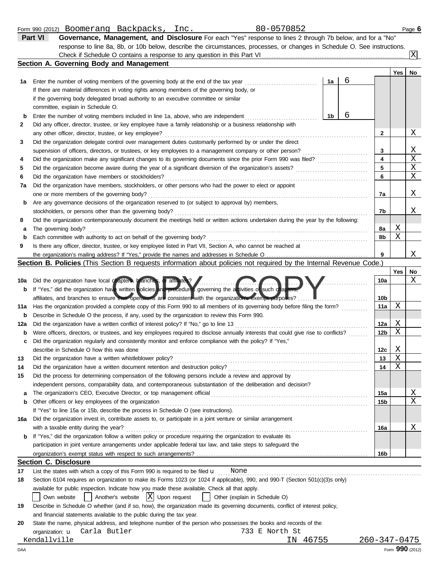|     | <b>Section A. Governing Body and Management</b>                                                                                                       |    |   |                         |     |                         |
|-----|-------------------------------------------------------------------------------------------------------------------------------------------------------|----|---|-------------------------|-----|-------------------------|
|     |                                                                                                                                                       |    |   |                         | Yes | No                      |
| 1a  | Enter the number of voting members of the governing body at the end of the tax year                                                                   | 1a | 6 |                         |     |                         |
|     | If there are material differences in voting rights among members of the governing body, or                                                            |    |   |                         |     |                         |
|     | if the governing body delegated broad authority to an executive committee or similar                                                                  |    |   |                         |     |                         |
|     | committee, explain in Schedule O.                                                                                                                     |    |   |                         |     |                         |
| b   | Enter the number of voting members included in line 1a, above, who are independent                                                                    | 1b | 6 |                         |     |                         |
| 2   | Did any officer, director, trustee, or key employee have a family relationship or a business relationship with                                        |    |   |                         |     |                         |
|     | any other officer, director, trustee, or key employee?                                                                                                |    |   | 2                       |     | X                       |
| 3   | Did the organization delegate control over management duties customarily performed by or under the direct                                             |    |   |                         |     |                         |
|     | supervision of officers, directors, or trustees, or key employees to a management company or other person?                                            |    |   | 3                       |     | X                       |
| 4   |                                                                                                                                                       |    |   | $\overline{\mathbf{4}}$ |     | $\overline{\text{X}}$   |
| 5   |                                                                                                                                                       |    |   | 5                       |     | $\mathbf X$             |
| 6   | Did the organization have members or stockholders?                                                                                                    |    |   | 6                       |     | $\overline{X}$          |
| 7a  | Did the organization have members, stockholders, or other persons who had the power to elect or appoint                                               |    |   |                         |     |                         |
|     | one or more members of the governing body?                                                                                                            |    |   | 7a                      |     | Χ                       |
| b   | Are any governance decisions of the organization reserved to (or subject to approval by) members,                                                     |    |   |                         |     |                         |
|     | stockholders, or persons other than the governing body?                                                                                               |    |   | 7b                      |     | Χ                       |
| 8   | Did the organization contemporaneously document the meetings held or written actions undertaken during the year by the following:                     |    |   |                         |     |                         |
| а   | The governing body?                                                                                                                                   |    |   | 8a                      | Χ   |                         |
| b   |                                                                                                                                                       |    |   | 8b                      | X   |                         |
| 9   | Is there any officer, director, trustee, or key employee listed in Part VII, Section A, who cannot be reached at                                      |    |   |                         |     |                         |
|     |                                                                                                                                                       |    |   | 9                       |     | Χ                       |
|     | Section B. Policies (This Section B requests information about policies not required by the Internal Revenue Code.)                                   |    |   |                         |     |                         |
|     |                                                                                                                                                       |    |   |                         | Yes | No<br>X                 |
| 10a | Did the organization have local or apters, branches, or affiliates?                                                                                   |    |   | 10a                     |     |                         |
| b   | If "Yes," did the organization have written policies and procedures governing the activities of such chapters,                                        |    |   |                         |     |                         |
|     | affiliates, and branches to ensure their operations are consistent with the organization's exempt purposes?                                           |    |   | 10 <sub>b</sub>         | Χ   |                         |
| 11a | Has the organization provided a complete copy of this Form 990 to all members of its governing body before filing the form?                           |    |   | 11a                     |     |                         |
| b   | Describe in Schedule O the process, if any, used by the organization to review this Form 990.                                                         |    |   |                         | Χ   |                         |
| 12a |                                                                                                                                                       |    |   | 12a<br>12 <sub>b</sub>  | X   |                         |
| b   | Were officers, directors, or trustees, and key employees required to disclose annually interests that could give rise to conflicts?                   |    |   |                         |     |                         |
| c   | Did the organization regularly and consistently monitor and enforce compliance with the policy? If "Yes,"<br>describe in Schedule O how this was done |    |   | 12c                     | Χ   |                         |
| 13  | Did the organization have a written whistleblower policy?                                                                                             |    |   | 13                      | X   |                         |
| 14  |                                                                                                                                                       |    |   | 14                      | X   |                         |
| 15  | Did the process for determining compensation of the following persons include a review and approval by                                                |    |   |                         |     |                         |
|     | independent persons, comparability data, and contemporaneous substantiation of the deliberation and decision?                                         |    |   |                         |     |                         |
| а   | The organization's CEO, Executive Director, or top management official                                                                                |    |   | 15a                     |     | <u>х</u>                |
| b   | Other officers or key employees of the organization                                                                                                   |    |   | 15 <sub>b</sub>         |     | $\overline{\mathbf{X}}$ |
|     | If "Yes" to line 15a or 15b, describe the process in Schedule O (see instructions).                                                                   |    |   |                         |     |                         |
| 16a | Did the organization invest in, contribute assets to, or participate in a joint venture or similar arrangement                                        |    |   |                         |     |                         |
|     | with a taxable entity during the year?                                                                                                                |    |   | 16a                     |     | Χ                       |
| b   | If "Yes," did the organization follow a written policy or procedure requiring the organization to evaluate its                                        |    |   |                         |     |                         |
|     | participation in joint venture arrangements under applicable federal tax law, and take steps to safeguard the                                         |    |   |                         |     |                         |
|     |                                                                                                                                                       |    |   | 16b                     |     |                         |
|     | <b>Section C. Disclosure</b>                                                                                                                          |    |   |                         |     |                         |
| 17  | List the states with which a copy of this Form 990 is required to be filed $\mathbf u$<br>None                                                        |    |   |                         |     |                         |
| 18  | Section 6104 requires an organization to make its Forms 1023 (or 1024 if applicable), 990, and 990-T (Section 501(c)(3)s only)                        |    |   |                         |     |                         |
|     | available for public inspection. Indicate how you made these available. Check all that apply.                                                         |    |   |                         |     |                         |
|     | $ X $ Upon request<br>Another's website<br>Own website<br>Other (explain in Schedule O)                                                               |    |   |                         |     |                         |
| 19  | Describe in Schedule O whether (and if so, how), the organization made its governing documents, conflict of interest policy,                          |    |   |                         |     |                         |
|     | and financial statements available to the public during the tax year.                                                                                 |    |   |                         |     |                         |
| 20  | State the name, physical address, and telephone number of the person who possesses the books and records of the                                       |    |   |                         |     |                         |

**Part VI Governance, Management, and Disclosure** For each "Yes" response to lines 2 through 7b below, and for a "No" response to line 8a, 8b, or 10b below, describe the circumstances, processes, or changes in Schedule O. See instructions.

Check if Schedule O contains a response to any question in this Part VI

State the name, physical address, and telephone number of the person who possesses the books and records of the 733 E North St<br>IN 46755

organization: **u** Carla Butler

Kendallville IN 46755 260-347-0475<br>AA Form **990** (2012)

X

| [nc. | 80-0570852 |
|------|------------|

|  | 990 (2012)<br>Form $\overline{a}$ | Boomerang | Backpacks | ັນ ລ<br>TIIC | $\bigcap$<br>70852 | Page ( |
|--|-----------------------------------|-----------|-----------|--------------|--------------------|--------|
|--|-----------------------------------|-----------|-----------|--------------|--------------------|--------|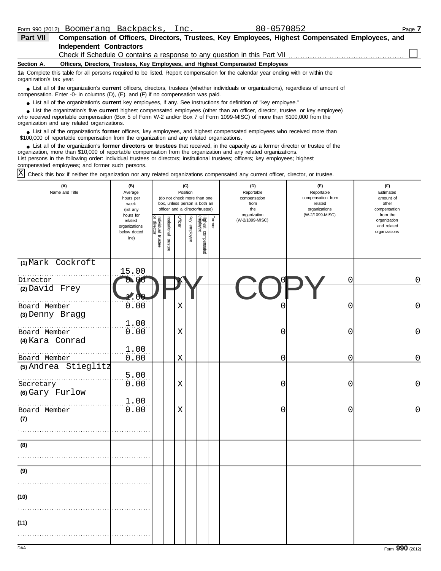| <b>Part VII</b>          | Compensation of Officers, Directors, Trustees, Key Employees, Highest Compensated Employees, and                                                                                                                                 |
|--------------------------|----------------------------------------------------------------------------------------------------------------------------------------------------------------------------------------------------------------------------------|
|                          | Independent Contractors                                                                                                                                                                                                          |
|                          | Check if Schedule O contains a response to any question in this Part VII <i>containare container container</i>                                                                                                                   |
| Section A.               | Officers, Directors, Trustees, Key Employees, and Highest Compensated Employees                                                                                                                                                  |
| organization's tax year. | 1a Complete this table for all persons required to be listed. Report compensation for the calendar year ending with or within the                                                                                                |
|                          | List all of the organization's <b>current</b> officers, directors, trustees (whether individuals or organizations), regardless of amount of<br>compensation. Enter -0- in columns (D), (E), and (F) if no compensation was paid. |

● List all of the organization's **current** key employees, if any. See instructions for definition of "key employee."

who received reportable compensation (Box 5 of Form W-2 and/or Box 7 of Form 1099-MISC) of more than \$100,000 from the organization and any related organizations. ■ List the organization's five **current** highest compensated employees (other than an officer, director, trustee, or key employee)<br> **•** Presived reportable compensation (Box 5 of Form M-2 and/or Box 7 of Form 1099-MISC) o

List all of the organization's **former** officers, key employees, and highest compensated employees who received more than • List all of the organization's **former** officers, key employees, and highest compensate \$100,000 of reportable compensation from the organization and any related organizations.

■ List all of the organization's **former directors or trustees** that received, in the capacity as a former director or trustee of the practization more than \$10,000 of reportable compensation from the organization and any organization, more than \$10,000 of reportable compensation from the organization and any related organizations. List persons in the following order: individual trustees or directors; institutional trustees; officers; key employees; highest compensated employees; and former such persons.

Check this box if neither the organization nor any related organizations compensated any current officer, director, or trustee.  $|X|$ 

| (A)<br>Name and Title | (B)<br>Average<br>hours per<br>week<br>(list any               |                                |                      | (C)<br>Position |              | (do not check more than one<br>box, unless person is both an<br>officer and a director/trustee) |        | (D)<br>Reportable<br>compensation<br>from<br>the | (E)<br>Reportable<br>compensation from<br>related<br>organizations | (F)<br>Estimated<br>amount of<br>other<br>compensation   |
|-----------------------|----------------------------------------------------------------|--------------------------------|----------------------|-----------------|--------------|-------------------------------------------------------------------------------------------------|--------|--------------------------------------------------|--------------------------------------------------------------------|----------------------------------------------------------|
|                       | hours for<br>related<br>organizations<br>below dotted<br>line) | Individual trustee<br>director | nstitutional trustee | <b>Officer</b>  | Key employee | Highest compensated<br>employee                                                                 | Former | organization<br>(W-2/1099-MISC)                  | (W-2/1099-MISC)                                                    | from the<br>organization<br>and related<br>organizations |
| (1) Mark Cockroft     | 15.00                                                          |                                |                      |                 |              |                                                                                                 |        |                                                  |                                                                    |                                                          |
| Director              | 0 <sub>0</sub>                                                 |                                |                      |                 |              |                                                                                                 |        |                                                  | 0                                                                  | 0                                                        |
| (2) David Frey        |                                                                |                                |                      |                 |              |                                                                                                 |        |                                                  |                                                                    |                                                          |
| .<br>Board Member     | 0.00                                                           |                                |                      | Χ               |              |                                                                                                 |        |                                                  | 0                                                                  | 0                                                        |
| (3) Denny Bragg       | 1.00                                                           |                                |                      |                 |              |                                                                                                 |        |                                                  |                                                                    |                                                          |
| Board Member          | 0.00                                                           |                                |                      | $\mathbf X$     |              |                                                                                                 |        | 0                                                | 0                                                                  | $\mathbf 0$                                              |
| (4) Kara Conrad       |                                                                |                                |                      |                 |              |                                                                                                 |        |                                                  |                                                                    |                                                          |
| Board Member          | 1.00<br>0.00                                                   |                                |                      | $\mathbf X$     |              |                                                                                                 |        | 0                                                | 0                                                                  | $\overline{0}$                                           |
| (5) Andrea Stieglitz  |                                                                |                                |                      |                 |              |                                                                                                 |        |                                                  |                                                                    |                                                          |
| Secretary             | 5.00<br>0.00                                                   |                                |                      | X               |              |                                                                                                 |        | 0                                                | 0                                                                  | 0                                                        |
| (6) Gary Furlow       |                                                                |                                |                      |                 |              |                                                                                                 |        |                                                  |                                                                    |                                                          |
| Board Member          | 1.00<br>0.00                                                   |                                |                      | $\mathbf X$     |              |                                                                                                 |        | 0                                                | 0                                                                  | 0                                                        |
| (7)                   |                                                                |                                |                      |                 |              |                                                                                                 |        |                                                  |                                                                    |                                                          |
|                       |                                                                |                                |                      |                 |              |                                                                                                 |        |                                                  |                                                                    |                                                          |
| (8)                   |                                                                |                                |                      |                 |              |                                                                                                 |        |                                                  |                                                                    |                                                          |
|                       |                                                                |                                |                      |                 |              |                                                                                                 |        |                                                  |                                                                    |                                                          |
| (9)                   |                                                                |                                |                      |                 |              |                                                                                                 |        |                                                  |                                                                    |                                                          |
|                       |                                                                |                                |                      |                 |              |                                                                                                 |        |                                                  |                                                                    |                                                          |
| (10)                  |                                                                |                                |                      |                 |              |                                                                                                 |        |                                                  |                                                                    |                                                          |
|                       |                                                                |                                |                      |                 |              |                                                                                                 |        |                                                  |                                                                    |                                                          |
| (11)                  |                                                                |                                |                      |                 |              |                                                                                                 |        |                                                  |                                                                    |                                                          |
|                       |                                                                |                                |                      |                 |              |                                                                                                 |        |                                                  |                                                                    |                                                          |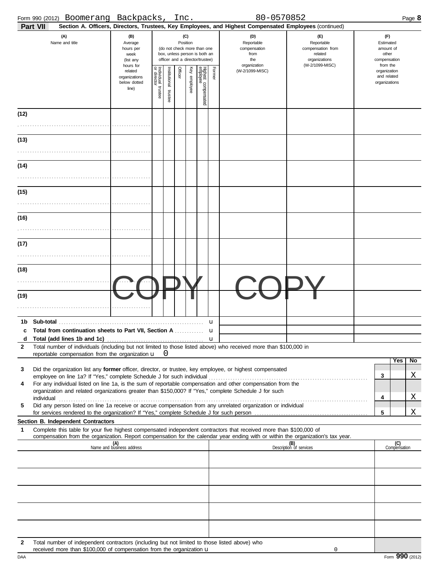|              | Form 990 (2012) Boomerang Backpacks,                                                                                                                                                                                                                   |                                                               |                                        |                          | Inc.     |              |                                                                                                 |        | 80-0570852                                                                                             |                                                                                       |                                                                    |                     | Page 8 |
|--------------|--------------------------------------------------------------------------------------------------------------------------------------------------------------------------------------------------------------------------------------------------------|---------------------------------------------------------------|----------------------------------------|--------------------------|----------|--------------|-------------------------------------------------------------------------------------------------|--------|--------------------------------------------------------------------------------------------------------|---------------------------------------------------------------------------------------|--------------------------------------------------------------------|---------------------|--------|
|              | Part VII                                                                                                                                                                                                                                               |                                                               |                                        |                          |          |              |                                                                                                 |        | Section A. Officers, Directors, Trustees, Key Employees, and Highest Compensated Employees (continued) |                                                                                       |                                                                    |                     |        |
|              | (A)<br>Name and title                                                                                                                                                                                                                                  | (B)<br>Average<br>hours per<br>week<br>(list any<br>hours for |                                        |                          | Position | (C)          | (do not check more than one<br>box, unless person is both an<br>officer and a director/trustee) |        | (D)<br>Reportable<br>compensation<br>from<br>the<br>organization                                       | (F)<br>Reportable<br>compensation from<br>related<br>organizations<br>(W-2/1099-MISC) | (F)<br>Estimated<br>amount of<br>other<br>compensation<br>from the |                     |        |
|              |                                                                                                                                                                                                                                                        | related<br>organizations<br>below dotted<br>line)             | Individual 1<br>or director<br>trustee | Institutional<br>trustee | Officer  | Key employee | Highest compensated<br>employee                                                                 | Former | (W-2/1099-MISC)                                                                                        |                                                                                       | organization<br>and related<br>organizations                       |                     |        |
| (12)         |                                                                                                                                                                                                                                                        |                                                               |                                        |                          |          |              |                                                                                                 |        |                                                                                                        |                                                                                       |                                                                    |                     |        |
|              |                                                                                                                                                                                                                                                        |                                                               |                                        |                          |          |              |                                                                                                 |        |                                                                                                        |                                                                                       |                                                                    |                     |        |
| (13)         |                                                                                                                                                                                                                                                        |                                                               |                                        |                          |          |              |                                                                                                 |        |                                                                                                        |                                                                                       |                                                                    |                     |        |
|              |                                                                                                                                                                                                                                                        |                                                               |                                        |                          |          |              |                                                                                                 |        |                                                                                                        |                                                                                       |                                                                    |                     |        |
|              |                                                                                                                                                                                                                                                        |                                                               |                                        |                          |          |              |                                                                                                 |        |                                                                                                        |                                                                                       |                                                                    |                     |        |
| (14)         |                                                                                                                                                                                                                                                        |                                                               |                                        |                          |          |              |                                                                                                 |        |                                                                                                        |                                                                                       |                                                                    |                     |        |
|              |                                                                                                                                                                                                                                                        |                                                               |                                        |                          |          |              |                                                                                                 |        |                                                                                                        |                                                                                       |                                                                    |                     |        |
| (15)         |                                                                                                                                                                                                                                                        |                                                               |                                        |                          |          |              |                                                                                                 |        |                                                                                                        |                                                                                       |                                                                    |                     |        |
|              |                                                                                                                                                                                                                                                        |                                                               |                                        |                          |          |              |                                                                                                 |        |                                                                                                        |                                                                                       |                                                                    |                     |        |
| (16)         |                                                                                                                                                                                                                                                        |                                                               |                                        |                          |          |              |                                                                                                 |        |                                                                                                        |                                                                                       |                                                                    |                     |        |
|              |                                                                                                                                                                                                                                                        |                                                               |                                        |                          |          |              |                                                                                                 |        |                                                                                                        |                                                                                       |                                                                    |                     |        |
| (17)         |                                                                                                                                                                                                                                                        |                                                               |                                        |                          |          |              |                                                                                                 |        |                                                                                                        |                                                                                       |                                                                    |                     |        |
|              |                                                                                                                                                                                                                                                        |                                                               |                                        |                          |          |              |                                                                                                 |        |                                                                                                        |                                                                                       |                                                                    |                     |        |
| (18)         |                                                                                                                                                                                                                                                        |                                                               |                                        |                          |          |              |                                                                                                 |        |                                                                                                        |                                                                                       |                                                                    |                     |        |
|              |                                                                                                                                                                                                                                                        |                                                               |                                        |                          |          |              |                                                                                                 |        |                                                                                                        |                                                                                       |                                                                    |                     |        |
| (19)         |                                                                                                                                                                                                                                                        |                                                               |                                        |                          |          |              |                                                                                                 |        |                                                                                                        |                                                                                       |                                                                    |                     |        |
|              |                                                                                                                                                                                                                                                        |                                                               |                                        |                          |          |              |                                                                                                 |        |                                                                                                        |                                                                                       |                                                                    |                     |        |
|              |                                                                                                                                                                                                                                                        |                                                               |                                        |                          |          |              |                                                                                                 |        |                                                                                                        |                                                                                       |                                                                    |                     |        |
|              | <b>Total from continuation sheets to Part VII, Section A</b> <i>Community</i>                                                                                                                                                                          |                                                               |                                        |                          |          |              |                                                                                                 | u<br>u |                                                                                                        |                                                                                       |                                                                    |                     |        |
| d            |                                                                                                                                                                                                                                                        |                                                               |                                        |                          |          |              |                                                                                                 |        |                                                                                                        |                                                                                       |                                                                    |                     |        |
| $\mathbf{2}$ | Total number of individuals (including but not limited to those listed above) who received more than \$100,000 in<br>reportable compensation from the organization $\mathbf{u} \quad 0$                                                                |                                                               |                                        |                          |          |              |                                                                                                 |        |                                                                                                        |                                                                                       |                                                                    |                     |        |
|              |                                                                                                                                                                                                                                                        |                                                               |                                        |                          |          |              |                                                                                                 |        |                                                                                                        |                                                                                       |                                                                    | Yes                 | No     |
| 3            | Did the organization list any former officer, director, or trustee, key employee, or highest compensated<br>employee on line 1a? If "Yes," complete Schedule J for such individual                                                                     |                                                               |                                        |                          |          |              |                                                                                                 |        |                                                                                                        |                                                                                       | 3                                                                  |                     | Χ      |
| 4            | For any individual listed on line 1a, is the sum of reportable compensation and other compensation from the<br>organization and related organizations greater than \$150,000? If "Yes," complete Schedule J for such                                   |                                                               |                                        |                          |          |              |                                                                                                 |        |                                                                                                        |                                                                                       |                                                                    |                     |        |
|              | individual with the contract of the contract of the contract of the contract of the contract of the contract of the contract of the contract of the contract of the contract of the contract of the contract of the contract o                         |                                                               |                                        |                          |          |              |                                                                                                 |        |                                                                                                        |                                                                                       | 4                                                                  |                     | Χ      |
| 5            | Did any person listed on line 1a receive or accrue compensation from any unrelated organization or individual                                                                                                                                          |                                                               |                                        |                          |          |              |                                                                                                 |        |                                                                                                        |                                                                                       | 5                                                                  |                     | Χ      |
|              | Section B. Independent Contractors                                                                                                                                                                                                                     |                                                               |                                        |                          |          |              |                                                                                                 |        |                                                                                                        |                                                                                       |                                                                    |                     |        |
| 1            | Complete this table for your five highest compensated independent contractors that received more than \$100,000 of<br>compensation from the organization. Report compensation for the calendar year ending with or within the organization's tax year. |                                                               |                                        |                          |          |              |                                                                                                 |        |                                                                                                        |                                                                                       |                                                                    |                     |        |
|              |                                                                                                                                                                                                                                                        | (A)<br>Name and business address                              |                                        |                          |          |              |                                                                                                 |        |                                                                                                        | (B)<br>Description of services                                                        |                                                                    | (C)<br>Compensation |        |
|              |                                                                                                                                                                                                                                                        |                                                               |                                        |                          |          |              |                                                                                                 |        |                                                                                                        |                                                                                       |                                                                    |                     |        |
|              |                                                                                                                                                                                                                                                        |                                                               |                                        |                          |          |              |                                                                                                 |        |                                                                                                        |                                                                                       |                                                                    |                     |        |
|              |                                                                                                                                                                                                                                                        |                                                               |                                        |                          |          |              |                                                                                                 |        |                                                                                                        |                                                                                       |                                                                    |                     |        |
|              |                                                                                                                                                                                                                                                        |                                                               |                                        |                          |          |              |                                                                                                 |        |                                                                                                        |                                                                                       |                                                                    |                     |        |
|              |                                                                                                                                                                                                                                                        |                                                               |                                        |                          |          |              |                                                                                                 |        |                                                                                                        |                                                                                       |                                                                    |                     |        |
|              |                                                                                                                                                                                                                                                        |                                                               |                                        |                          |          |              |                                                                                                 |        |                                                                                                        |                                                                                       |                                                                    |                     |        |
|              |                                                                                                                                                                                                                                                        |                                                               |                                        |                          |          |              |                                                                                                 |        |                                                                                                        |                                                                                       |                                                                    |                     |        |
| 2            | Total number of independent contractors (including but not limited to those listed above) who                                                                                                                                                          |                                                               |                                        |                          |          |              |                                                                                                 |        |                                                                                                        |                                                                                       |                                                                    |                     |        |

received more than \$100,000 of compensation from the organization u

0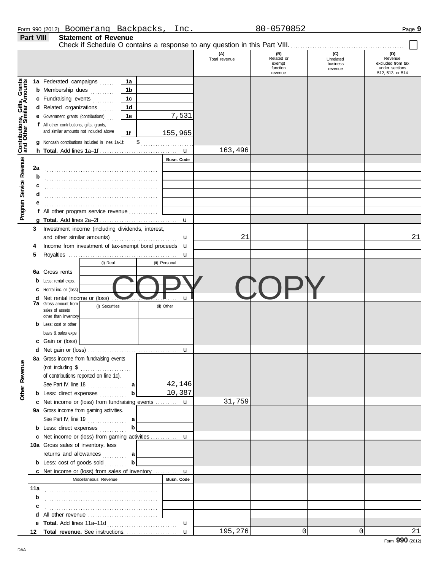|                  | Form 990 (2012) Boomerang   | Backpacks. | Inc. | 80-0570852 | Page 9 |
|------------------|-----------------------------|------------|------|------------|--------|
| <b>Part VIII</b> | <b>Statement of Revenue</b> |            |      |            |        |

Check if Schedule O contains a response to any question in this Part VIII. . . . . . . . . . . . . . . . . . . . . . . . . . . . . . . . . . . . . . . . . . . . . . . .

 $\Box$ 

|                              |     |                                                                    |                |               | (A)<br>Total revenue | (B)<br>Related or<br>exempt | (C)<br>Unrelated<br>business | (D)<br>Revenue<br>excluded from tax |
|------------------------------|-----|--------------------------------------------------------------------|----------------|---------------|----------------------|-----------------------------|------------------------------|-------------------------------------|
|                              |     |                                                                    |                |               |                      | function<br>revenue         | revenue                      | under sections<br>512, 513, or 514  |
|                              |     | 1a Federated campaigns                                             | 1a             |               |                      |                             |                              |                                     |
| Contributions, Gifts, Grants |     | <b>b</b> Membership dues                                           | 1b             |               |                      |                             |                              |                                     |
|                              |     | c Fundraising events                                               | 1 <sub>c</sub> |               |                      |                             |                              |                                     |
|                              |     | d Related organizations                                            | 1d             |               |                      |                             |                              |                                     |
|                              |     | <b>e</b> Government grants (contributions)                         | 1е             | 7,531         |                      |                             |                              |                                     |
|                              |     | f All other contributions, gifts, grants,                          |                |               |                      |                             |                              |                                     |
|                              |     | and similar amounts not included above                             | 1f             | 155,965       |                      |                             |                              |                                     |
|                              |     | g Noncash contributions included in lines 1a-1f:                   |                |               |                      |                             |                              |                                     |
|                              |     |                                                                    |                | u             | 163,496              |                             |                              |                                     |
|                              |     |                                                                    |                | Busn. Code    |                      |                             |                              |                                     |
| Program Service Revenue      | 2a  |                                                                    |                |               |                      |                             |                              |                                     |
|                              | b   |                                                                    |                |               |                      |                             |                              |                                     |
|                              |     |                                                                    |                |               |                      |                             |                              |                                     |
|                              | d   |                                                                    |                |               |                      |                             |                              |                                     |
|                              |     |                                                                    |                |               |                      |                             |                              |                                     |
|                              |     | f All other program service revenue                                |                |               |                      |                             |                              |                                     |
|                              |     |                                                                    |                | u             |                      |                             |                              |                                     |
|                              | 3   | Investment income (including dividends, interest,                  |                |               |                      |                             |                              |                                     |
|                              |     |                                                                    |                | u             | 21                   |                             |                              | 21                                  |
|                              | 4   | Income from investment of tax-exempt bond proceeds u               |                |               |                      |                             |                              |                                     |
|                              | 5   |                                                                    |                | u             |                      |                             |                              |                                     |
|                              |     | (i) Real                                                           |                | (ii) Personal |                      |                             |                              |                                     |
|                              |     | 6a Gross rents                                                     |                |               |                      |                             |                              |                                     |
|                              |     | Less: rental exps.                                                 |                |               |                      |                             |                              |                                     |
|                              |     | Rental inc. or (loss)                                              |                |               |                      |                             |                              |                                     |
|                              | d   | Net rental income or (loss)                                        |                | u             |                      |                             |                              |                                     |
|                              |     | <b>7a</b> Gross amount from<br>(i) Securities                      |                | (ii) Other    |                      |                             |                              |                                     |
|                              |     | sales of assets<br>other than inventory                            |                |               |                      |                             |                              |                                     |
|                              |     | Less: cost or other                                                |                |               |                      |                             |                              |                                     |
|                              |     | basis & sales exps.                                                |                |               |                      |                             |                              |                                     |
|                              |     | c Gain or (loss)                                                   |                |               |                      |                             |                              |                                     |
|                              |     |                                                                    |                | u             |                      |                             |                              |                                     |
|                              |     | 8a Gross income from fundraising events                            |                |               |                      |                             |                              |                                     |
| enue                         |     | (not including $\$\dots$                                           |                |               |                      |                             |                              |                                     |
|                              |     | of contributions reported on line 1c).                             |                |               |                      |                             |                              |                                     |
|                              |     | See Part IV, line 18                                               | al             | 42,146        |                      |                             |                              |                                     |
| Other Rev                    |     | <b>b</b> Less: direct expenses                                     | $\mathbf{b}$   | 10,387        |                      |                             |                              |                                     |
|                              |     | c Net income or (loss) from fundraising events  u                  |                |               | 31,759               |                             |                              |                                     |
|                              |     | 9a Gross income from gaming activities.                            |                |               |                      |                             |                              |                                     |
|                              |     | See Part IV, line 19 $\ldots$                                      |                |               |                      |                             |                              |                                     |
|                              |     | <b>b</b> Less: direct expenses                                     | b              |               |                      |                             |                              |                                     |
|                              |     |                                                                    |                |               |                      |                             |                              |                                     |
|                              |     | 10a Gross sales of inventory, less                                 |                |               |                      |                             |                              |                                     |
|                              |     | returns and allowances  a                                          |                |               |                      |                             |                              |                                     |
|                              |     | <b>b</b> Less: cost of goods sold                                  | $\mathbf{b}$   |               |                      |                             |                              |                                     |
|                              |     | <b>c</b> Net income or (loss) from sales of inventory $\mathbf{u}$ |                |               |                      |                             |                              |                                     |
|                              |     | Miscellaneous Revenue                                              |                | Busn. Code    |                      |                             |                              |                                     |
|                              | 11a |                                                                    |                |               |                      |                             |                              |                                     |
|                              | b   |                                                                    |                |               |                      |                             |                              |                                     |
|                              | c   |                                                                    |                |               |                      |                             |                              |                                     |
|                              |     |                                                                    |                |               |                      |                             |                              |                                     |
|                              |     |                                                                    |                | $\mathbf{u}$  |                      |                             |                              |                                     |
|                              | 12  | Total revenue. See instructions.                                   |                | $\mathbf{u}$  | 195,276              | $\Omega$                    | 0                            | 21                                  |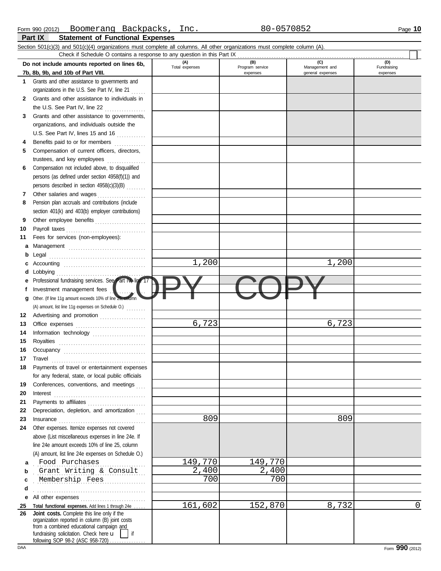|    | Section 501(c)(3) and 501(c)(4) organizations must complete all columns. All other organizations must complete column (A).                                                                            |                       |                        |                       |                    |
|----|-------------------------------------------------------------------------------------------------------------------------------------------------------------------------------------------------------|-----------------------|------------------------|-----------------------|--------------------|
|    | Check if Schedule O contains a response to any question in this Part IX                                                                                                                               |                       |                        |                       |                    |
|    | Do not include amounts reported on lines 6b,                                                                                                                                                          | (A)<br>Total expenses | (B)<br>Program service | (C)<br>Management and | (D)<br>Fundraising |
|    | 7b, 8b, 9b, and 10b of Part VIII.                                                                                                                                                                     |                       | expenses               | general expenses      | expenses           |
| 1  | Grants and other assistance to governments and                                                                                                                                                        |                       |                        |                       |                    |
|    | organizations in the U.S. See Part IV, line 21                                                                                                                                                        |                       |                        |                       |                    |
| 2  | Grants and other assistance to individuals in                                                                                                                                                         |                       |                        |                       |                    |
|    | the U.S. See Part IV, line 22                                                                                                                                                                         |                       |                        |                       |                    |
| 3  | Grants and other assistance to governments,<br>organizations, and individuals outside the                                                                                                             |                       |                        |                       |                    |
|    | U.S. See Part IV, lines 15 and 16                                                                                                                                                                     |                       |                        |                       |                    |
| 4  | Benefits paid to or for members                                                                                                                                                                       |                       |                        |                       |                    |
| 5  | .<br>Compensation of current officers, directors,                                                                                                                                                     |                       |                        |                       |                    |
|    | trustees, and key employees                                                                                                                                                                           |                       |                        |                       |                    |
| 6  | Compensation not included above, to disqualified                                                                                                                                                      |                       |                        |                       |                    |
|    | persons (as defined under section 4958(f)(1)) and                                                                                                                                                     |                       |                        |                       |                    |
|    | persons described in section 4958(c)(3)(B)                                                                                                                                                            |                       |                        |                       |                    |
| 7  | Other salaries and wages                                                                                                                                                                              |                       |                        |                       |                    |
| 8  | Pension plan accruals and contributions (include                                                                                                                                                      |                       |                        |                       |                    |
|    | section 401(k) and 403(b) employer contributions)                                                                                                                                                     |                       |                        |                       |                    |
| 9  | Other employee benefits                                                                                                                                                                               |                       |                        |                       |                    |
| 10 | Payroll taxes                                                                                                                                                                                         |                       |                        |                       |                    |
| 11 | Fees for services (non-employees):                                                                                                                                                                    |                       |                        |                       |                    |
| a  |                                                                                                                                                                                                       |                       |                        |                       |                    |
| b  |                                                                                                                                                                                                       |                       |                        |                       |                    |
| c  |                                                                                                                                                                                                       | 1,200                 |                        | 1,200                 |                    |
| d  | Lobbying                                                                                                                                                                                              |                       |                        |                       |                    |
| е  | Professional fundraising services. See Part IV, line 17                                                                                                                                               |                       |                        |                       |                    |
| f  | Investment management fees                                                                                                                                                                            |                       |                        |                       |                    |
| g  | Other. (If line 11g amount exceeds 10% of line 25, column                                                                                                                                             |                       |                        |                       |                    |
| 12 | (A) amount, list line 11g expenses on Schedule O.)<br>Advertising and promotion                                                                                                                       |                       |                        |                       |                    |
| 13 |                                                                                                                                                                                                       | 6,723                 |                        | 6,723                 |                    |
| 14 | Information technology                                                                                                                                                                                |                       |                        |                       |                    |
| 15 |                                                                                                                                                                                                       |                       |                        |                       |                    |
| 16 |                                                                                                                                                                                                       |                       |                        |                       |                    |
| 17 | $\begin{minipage}{0.5\textwidth} \centering \begin{tabular}{@{}c@{}} \textbf{True} & \textbf{True} \\ \textbf{True} & \textbf{True} \\ \textbf{True} & \textbf{True} \\ \end{tabular} \end{minipage}$ |                       |                        |                       |                    |
| 18 | Payments of travel or entertainment expenses                                                                                                                                                          |                       |                        |                       |                    |
|    | for any federal, state, or local public officials                                                                                                                                                     |                       |                        |                       |                    |
| 19 | Conferences, conventions, and meetings                                                                                                                                                                |                       |                        |                       |                    |
| 20 | Interest                                                                                                                                                                                              |                       |                        |                       |                    |
| 21 |                                                                                                                                                                                                       |                       |                        |                       |                    |
| 22 | Depreciation, depletion, and amortization                                                                                                                                                             |                       |                        |                       |                    |
| 23 | Insurance                                                                                                                                                                                             | 809                   |                        | 809                   |                    |
| 24 | Other expenses. Itemize expenses not covered<br>above (List miscellaneous expenses in line 24e. If                                                                                                    |                       |                        |                       |                    |
|    | line 24e amount exceeds 10% of line 25, column                                                                                                                                                        |                       |                        |                       |                    |
|    | (A) amount, list line 24e expenses on Schedule O.)                                                                                                                                                    |                       |                        |                       |                    |
| a  | Food Purchases                                                                                                                                                                                        | 149,770               | 149,770                |                       |                    |
| b  | Grant Writing & Consult                                                                                                                                                                               | 2,400                 | 2,400                  |                       |                    |
| c  | Membership Fees                                                                                                                                                                                       | 700                   | 700                    |                       |                    |
| d  |                                                                                                                                                                                                       |                       |                        |                       |                    |
| е  |                                                                                                                                                                                                       |                       |                        |                       |                    |
| 25 | Total functional expenses. Add lines 1 through 24e                                                                                                                                                    | 161,602               | 152,870                | 8,732                 | $\mathbf 0$        |
| 26 | Joint costs. Complete this line only if the<br>organization reported in column (B) joint costs<br>from a combined educational campaign and<br>fundraising solicitation. Check here u<br>if            |                       |                        |                       |                    |
|    | following SOP 98-2 (ASC 958-720)                                                                                                                                                                      |                       |                        |                       |                    |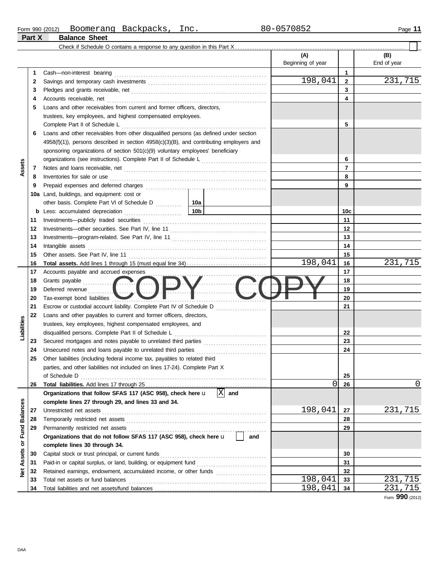|                 |          | Check if Schedule O contains a response to any question in this Part $X$                                                                                                                                                            |                   |                |             |
|-----------------|----------|-------------------------------------------------------------------------------------------------------------------------------------------------------------------------------------------------------------------------------------|-------------------|----------------|-------------|
|                 |          |                                                                                                                                                                                                                                     | (A)               |                | (B)         |
|                 |          |                                                                                                                                                                                                                                     | Beginning of year |                | End of year |
|                 | 1        |                                                                                                                                                                                                                                     |                   | 1              |             |
|                 | 2        |                                                                                                                                                                                                                                     | 198,041           | $\mathbf{2}$   | 231,715     |
|                 | 3        |                                                                                                                                                                                                                                     |                   | 3              |             |
|                 | 4        |                                                                                                                                                                                                                                     |                   | 4              |             |
|                 | 5        | Loans and other receivables from current and former officers, directors,                                                                                                                                                            |                   |                |             |
|                 |          | trustees, key employees, and highest compensated employees.                                                                                                                                                                         |                   |                |             |
|                 |          |                                                                                                                                                                                                                                     |                   | 5              |             |
|                 | 6        | Loans and other receivables from other disqualified persons (as defined under section                                                                                                                                               |                   |                |             |
|                 |          | $4958(f)(1)$ , persons described in section $4958(c)(3)(B)$ , and contributing employers and                                                                                                                                        |                   |                |             |
|                 |          | sponsoring organizations of section 501(c)(9) voluntary employees' beneficiary                                                                                                                                                      |                   |                |             |
|                 |          |                                                                                                                                                                                                                                     |                   | 6              |             |
| Assets          | 7        |                                                                                                                                                                                                                                     |                   | $\overline{7}$ |             |
|                 | 8        | Inventories for sale or use <i>communication</i> and the contract of the contract of the contract of the contract of the contract of the contract of the contract of the contract of the contract of the contract of the contract o |                   | 8              |             |
|                 | 9        |                                                                                                                                                                                                                                     |                   | 9              |             |
|                 |          | 10a Land, buildings, and equipment: cost or                                                                                                                                                                                         |                   |                |             |
|                 |          |                                                                                                                                                                                                                                     |                   |                |             |
|                 | b        | 10b                                                                                                                                                                                                                                 |                   | 10c            |             |
|                 | 11       |                                                                                                                                                                                                                                     |                   | 11             |             |
|                 | 12       |                                                                                                                                                                                                                                     |                   | 12             |             |
|                 | 13       |                                                                                                                                                                                                                                     |                   | 13             |             |
|                 | 14       |                                                                                                                                                                                                                                     |                   | 14             |             |
|                 | 15       |                                                                                                                                                                                                                                     |                   | 15             |             |
|                 | 16       |                                                                                                                                                                                                                                     | 198,041           | 16             | 231,715     |
|                 | 17       | Accounts payable and accrued expenses                                                                                                                                                                                               |                   | 17             |             |
|                 | 18       |                                                                                                                                                                                                                                     |                   | 18             |             |
|                 | 19       | Grants payable<br>Deferred revenue                                                                                                                                                                                                  |                   | 19             |             |
|                 | 20       | Tax-exempt bond liabilities                                                                                                                                                                                                         |                   | 20             |             |
|                 | 21       | Escrow or custodial account liability. Complete Part IV of Schedule D                                                                                                                                                               |                   | 21             |             |
|                 | 22       | Loans and other payables to current and former officers, directors,                                                                                                                                                                 |                   |                |             |
| Liabilities     |          | trustees, key employees, highest compensated employees, and                                                                                                                                                                         |                   |                |             |
|                 |          |                                                                                                                                                                                                                                     |                   | 22             |             |
|                 | 23       |                                                                                                                                                                                                                                     |                   | 23             |             |
|                 | 24       |                                                                                                                                                                                                                                     |                   | 24             |             |
|                 | 25       | Other liabilities (including federal income tax, payables to related third                                                                                                                                                          |                   |                |             |
|                 |          | parties, and other liabilities not included on lines 17-24). Complete Part X                                                                                                                                                        |                   |                |             |
|                 |          | of Schedule D                                                                                                                                                                                                                       |                   | 25             |             |
|                 | 26       | $ X $ and                                                                                                                                                                                                                           | 0                 | 26             | $\Omega$    |
|                 |          | Organizations that follow SFAS 117 (ASC 958), check here u                                                                                                                                                                          |                   |                |             |
|                 |          | complete lines 27 through 29, and lines 33 and 34.                                                                                                                                                                                  | 198,041           | 27             | 231,715     |
| <b>Balances</b> | 27       |                                                                                                                                                                                                                                     |                   | 28             |             |
|                 | 28<br>29 |                                                                                                                                                                                                                                     |                   | 29             |             |
| Fund            |          | Organizations that do not follow SFAS 117 (ASC 958), check here u<br>and                                                                                                                                                            |                   |                |             |
| ŏ               |          | complete lines 30 through 34.                                                                                                                                                                                                       |                   |                |             |
|                 | 30       | Capital stock or trust principal, or current funds                                                                                                                                                                                  |                   | 30             |             |
| Assets          | 31       | Paid-in or capital surplus, or land, building, or equipment fund                                                                                                                                                                    |                   | 31             |             |
| ğ               | 32       | Retained earnings, endowment, accumulated income, or other funds                                                                                                                                                                    |                   | 32             |             |
|                 | 33       |                                                                                                                                                                                                                                     | 198,041           | 33             | 715<br>231  |
|                 | 34       |                                                                                                                                                                                                                                     | 198,041           | 34             | 231<br>.715 |
|                 |          |                                                                                                                                                                                                                                     |                   |                |             |

Form **990** (2012)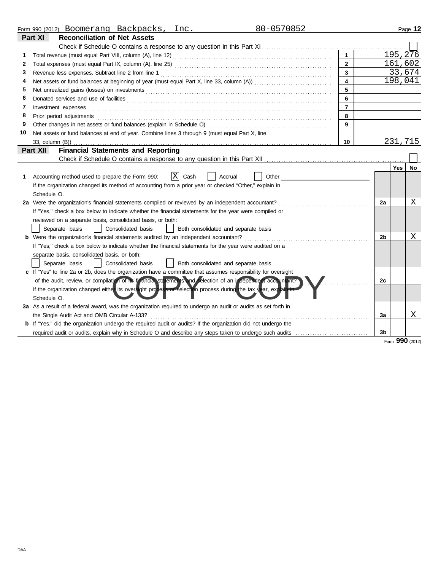|    | 80-0570852<br>Form 990 (2012) Boomerang Backpacks, Inc.                                                               |                |                |          | Page 12   |
|----|-----------------------------------------------------------------------------------------------------------------------|----------------|----------------|----------|-----------|
|    | Part XI<br><b>Reconciliation of Net Assets</b>                                                                        |                |                |          |           |
|    |                                                                                                                       |                |                |          |           |
| 1  |                                                                                                                       | $\mathbf{1}$   |                | 195, 276 |           |
| 2  |                                                                                                                       | $\overline{2}$ |                | 161,602  |           |
| 3  |                                                                                                                       | 3              |                |          | 33,674    |
| 4  |                                                                                                                       | 4              |                |          | 198,041   |
| 5  |                                                                                                                       | 5              |                |          |           |
| 6  |                                                                                                                       | 6              |                |          |           |
| 7  | Investment expenses                                                                                                   | $\overline{7}$ |                |          |           |
| 8  | Prior period adjustments                                                                                              | 8              |                |          |           |
| 9  | Other changes in net assets or fund balances (explain in Schedule O)                                                  | 9              |                |          |           |
| 10 | Net assets or fund balances at end of year. Combine lines 3 through 9 (must equal Part X, line                        |                |                |          |           |
|    |                                                                                                                       | 10             |                | 231,715  |           |
|    | <b>Financial Statements and Reporting</b><br>Part XII                                                                 |                |                |          |           |
|    |                                                                                                                       |                |                |          |           |
|    |                                                                                                                       |                |                | Yes      | <b>No</b> |
| 1  | X <br>Cash<br>Other<br>Accounting method used to prepare the Form 990:<br>Accrual                                     |                |                |          |           |
|    | If the organization changed its method of accounting from a prior year or checked "Other," explain in                 |                |                |          |           |
|    | Schedule O.                                                                                                           |                |                |          |           |
|    | 2a Were the organization's financial statements compiled or reviewed by an independent accountant?                    |                | 2a             |          | Χ         |
|    | If "Yes," check a box below to indicate whether the financial statements for the year were compiled or                |                |                |          |           |
|    | reviewed on a separate basis, consolidated basis, or both:                                                            |                |                |          |           |
|    | Separate basis<br>Consolidated basis<br>Both consolidated and separate basis                                          |                |                |          |           |
|    | <b>b</b> Were the organization's financial statements audited by an independent accountant?                           |                | 2b             |          | Χ         |
|    | If "Yes," check a box below to indicate whether the financial statements for the year were audited on a               |                |                |          |           |
|    | separate basis, consolidated basis, or both:                                                                          |                |                |          |           |
|    | Separate basis<br>Consolidated basis<br>Both consolidated and separate basis                                          |                |                |          |           |
|    | c If "Yes" to line 2a or 2b, does the organization have a committee that assumes responsibility for oversight         |                |                |          |           |
|    | of the audit, review, or compilation of its financial statements and selection of an independent accountant?          |                | 2c             |          |           |
|    | If the organization changed either its oversight process or selection process during the tax year, explain in         |                |                |          |           |
|    | Schedule O.                                                                                                           |                |                |          |           |
|    | 3a As a result of a federal award, was the organization required to undergo an audit or audits as set forth in        |                |                |          |           |
|    | the Single Audit Act and OMB Circular A-133?                                                                          |                | 3a             |          | X         |
|    | <b>b</b> If "Yes," did the organization undergo the required audit or audits? If the organization did not undergo the |                |                |          |           |
|    |                                                                                                                       |                | 3 <sub>b</sub> |          |           |
|    |                                                                                                                       |                |                | nnn      |           |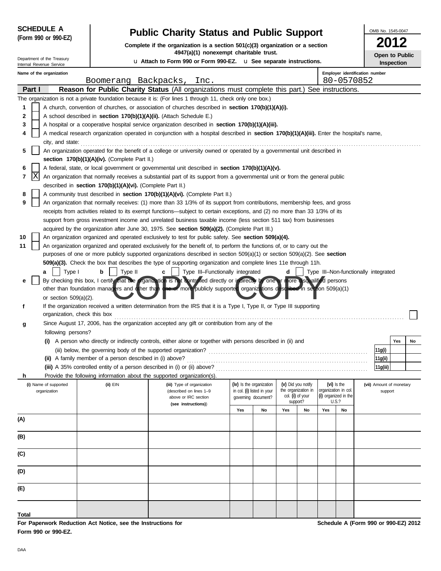| <b>SCHEDULE A</b>    |  |
|----------------------|--|
| (Form 990 or 990-EZ) |  |

Internal Revenue Service Department of the Treasury

# **Public Charity Status and Public Support**

**Complete if the organization is a section 501(c)(3) organization or a section 4947(a)(1) nonexempt charitable trust.**

u **Attach to Form 990 or Form 990-EZ.** u **See separate instructions.**

| OMB No. 1545-0047 |
|-------------------|
|                   |
| 2012              |
| .                 |

**Open to Public Inspection**

|              |        | Name of the organization                                                                                                    |                                                                           |                                                                                                                                            |     |                                    |          |                                                               |                                      | Employer identification number |  |                                      |     |    |
|--------------|--------|-----------------------------------------------------------------------------------------------------------------------------|---------------------------------------------------------------------------|--------------------------------------------------------------------------------------------------------------------------------------------|-----|------------------------------------|----------|---------------------------------------------------------------|--------------------------------------|--------------------------------|--|--------------------------------------|-----|----|
|              |        |                                                                                                                             | Boomerang Backpacks,                                                      | Inc.                                                                                                                                       |     |                                    |          |                                                               |                                      | 80-0570852                     |  |                                      |     |    |
|              | Part I |                                                                                                                             |                                                                           | Reason for Public Charity Status (All organizations must complete this part.) See instructions.                                            |     |                                    |          |                                                               |                                      |                                |  |                                      |     |    |
|              |        |                                                                                                                             |                                                                           | The organization is not a private foundation because it is: (For lines 1 through 11, check only one box.)                                  |     |                                    |          |                                                               |                                      |                                |  |                                      |     |    |
| 1            |        |                                                                                                                             |                                                                           | A church, convention of churches, or association of churches described in section 170(b)(1)(A)(i).                                         |     |                                    |          |                                                               |                                      |                                |  |                                      |     |    |
| 2            |        |                                                                                                                             | A school described in section 170(b)(1)(A)(ii). (Attach Schedule E.)      |                                                                                                                                            |     |                                    |          |                                                               |                                      |                                |  |                                      |     |    |
| З            |        |                                                                                                                             |                                                                           | A hospital or a cooperative hospital service organization described in section 170(b)(1)(A)(iii).                                          |     |                                    |          |                                                               |                                      |                                |  |                                      |     |    |
|              |        | city, and state:                                                                                                            |                                                                           | A medical research organization operated in conjunction with a hospital described in section 170(b)(1)(A)(iii). Enter the hospital's name, |     |                                    |          |                                                               |                                      |                                |  |                                      |     |    |
| 5            |        |                                                                                                                             |                                                                           | An organization operated for the benefit of a college or university owned or operated by a governmental unit described in                  |     |                                    |          |                                                               |                                      |                                |  |                                      |     |    |
|              |        |                                                                                                                             | section $170(b)(1)(A)(iv)$ . (Complete Part II.)                          |                                                                                                                                            |     |                                    |          |                                                               |                                      |                                |  |                                      |     |    |
| 6            |        |                                                                                                                             |                                                                           | A federal, state, or local government or governmental unit described in section 170(b)(1)(A)(v).                                           |     |                                    |          |                                                               |                                      |                                |  |                                      |     |    |
| 7            | ΙX     |                                                                                                                             |                                                                           | An organization that normally receives a substantial part of its support from a governmental unit or from the general public               |     |                                    |          |                                                               |                                      |                                |  |                                      |     |    |
|              |        | described in <b>section 170(b)(1)(A)(vi).</b> (Complete Part II.)                                                           |                                                                           |                                                                                                                                            |     |                                    |          |                                                               |                                      |                                |  |                                      |     |    |
| 8            |        | A community trust described in section 170(b)(1)(A)(vi). (Complete Part II.)                                                |                                                                           |                                                                                                                                            |     |                                    |          |                                                               |                                      |                                |  |                                      |     |    |
| 9            |        | An organization that normally receives: (1) more than 33 1/3% of its support from contributions, membership fees, and gross |                                                                           |                                                                                                                                            |     |                                    |          |                                                               |                                      |                                |  |                                      |     |    |
|              |        | receipts from activities related to its exempt functions—subject to certain exceptions, and (2) no more than 33 1/3% of its |                                                                           |                                                                                                                                            |     |                                    |          |                                                               |                                      |                                |  |                                      |     |    |
|              |        |                                                                                                                             |                                                                           | support from gross investment income and unrelated business taxable income (less section 511 tax) from businesses                          |     |                                    |          |                                                               |                                      |                                |  |                                      |     |    |
|              |        |                                                                                                                             |                                                                           | acquired by the organization after June 30, 1975. See section 509(a)(2). (Complete Part III.)                                              |     |                                    |          |                                                               |                                      |                                |  |                                      |     |    |
| 10           |        |                                                                                                                             |                                                                           | An organization organized and operated exclusively to test for public safety. See section 509(a)(4).                                       |     |                                    |          |                                                               |                                      |                                |  |                                      |     |    |
| 11           |        |                                                                                                                             |                                                                           | An organization organized and operated exclusively for the benefit of, to perform the functions of, or to carry out the                    |     |                                    |          |                                                               |                                      |                                |  |                                      |     |    |
|              |        |                                                                                                                             |                                                                           | purposes of one or more publicly supported organizations described in section $509(a)(1)$ or section $509(a)(2)$ . See section             |     |                                    |          |                                                               |                                      |                                |  |                                      |     |    |
|              |        |                                                                                                                             |                                                                           | 509(a)(3). Check the box that describes the type of supporting organization and complete lines 11e through 11h.                            |     |                                    |          |                                                               |                                      |                                |  |                                      |     |    |
|              |        | Type I<br>a                                                                                                                 | b<br>Type II                                                              | Type III-Functionally integrated<br>c                                                                                                      |     |                                    | d        |                                                               |                                      |                                |  | Type III-Non-functionally integrated |     |    |
| е            |        |                                                                                                                             |                                                                           | By checking this box, I certify that the organization is not controlled directly or indirectly by one or more disqualified persons         |     |                                    |          |                                                               |                                      |                                |  |                                      |     |    |
|              |        |                                                                                                                             |                                                                           | other than foundation managers and other than one or more publicly supported organizations described in section 509(a)(1)                  |     |                                    |          |                                                               |                                      |                                |  |                                      |     |    |
|              |        | or section $509(a)(2)$ .                                                                                                    |                                                                           |                                                                                                                                            |     |                                    |          |                                                               |                                      |                                |  |                                      |     |    |
| Ť.           |        |                                                                                                                             |                                                                           | If the organization received a written determination from the IRS that it is a Type I, Type II, or Type III supporting                     |     |                                    |          |                                                               |                                      |                                |  |                                      |     |    |
|              |        |                                                                                                                             | organization, check this box                                              |                                                                                                                                            |     |                                    |          |                                                               |                                      |                                |  |                                      |     |    |
| g            |        |                                                                                                                             |                                                                           | Since August 17, 2006, has the organization accepted any gift or contribution from any of the                                              |     |                                    |          |                                                               |                                      |                                |  |                                      |     |    |
|              |        | following persons?                                                                                                          |                                                                           |                                                                                                                                            |     |                                    |          |                                                               |                                      |                                |  |                                      |     |    |
|              |        |                                                                                                                             |                                                                           | (i) A person who directly or indirectly controls, either alone or together with persons described in (ii) and                              |     |                                    |          |                                                               |                                      |                                |  |                                      | Yes | No |
|              |        |                                                                                                                             |                                                                           |                                                                                                                                            |     |                                    |          |                                                               |                                      |                                |  | 11g(i)                               |     |    |
|              |        |                                                                                                                             | (ii) A family member of a person described in (i) above?                  |                                                                                                                                            |     |                                    |          |                                                               |                                      |                                |  | 11g(ii)                              |     |    |
|              |        |                                                                                                                             | (iii) A 35% controlled entity of a person described in (i) or (ii) above? |                                                                                                                                            |     |                                    |          |                                                               |                                      |                                |  | 11g(iii)                             |     |    |
|              |        |                                                                                                                             | Provide the following information about the supported organization(s).    |                                                                                                                                            |     | (iv) Is the organization           |          |                                                               |                                      |                                |  | (vii) Amount of monetary             |     |    |
|              |        | (i) Name of supported<br>organization                                                                                       | (ii) EIN                                                                  | (iii) Type of organization<br>(described on lines 1-9                                                                                      |     | in col. (i) listed in your $\vert$ |          | (v) Did you notify<br>the organization in organization in col |                                      | (vi) Is the                    |  | support                              |     |    |
|              |        |                                                                                                                             |                                                                           | above or IRC section                                                                                                                       |     | governing document?                | support? | col. (i) of your                                              | (i) organized in the<br><b>U.S.?</b> |                                |  |                                      |     |    |
|              |        |                                                                                                                             |                                                                           | (see instructions))                                                                                                                        | Yes | No                                 | Yes      | No                                                            | Yes                                  | No                             |  |                                      |     |    |
| (A)          |        |                                                                                                                             |                                                                           |                                                                                                                                            |     |                                    |          |                                                               |                                      |                                |  |                                      |     |    |
|              |        |                                                                                                                             |                                                                           |                                                                                                                                            |     |                                    |          |                                                               |                                      |                                |  |                                      |     |    |
| (B)          |        |                                                                                                                             |                                                                           |                                                                                                                                            |     |                                    |          |                                                               |                                      |                                |  |                                      |     |    |
|              |        |                                                                                                                             |                                                                           |                                                                                                                                            |     |                                    |          |                                                               |                                      |                                |  |                                      |     |    |
| (C)          |        |                                                                                                                             |                                                                           |                                                                                                                                            |     |                                    |          |                                                               |                                      |                                |  |                                      |     |    |
| (D)          |        |                                                                                                                             |                                                                           |                                                                                                                                            |     |                                    |          |                                                               |                                      |                                |  |                                      |     |    |
| (E)          |        |                                                                                                                             |                                                                           |                                                                                                                                            |     |                                    |          |                                                               |                                      |                                |  |                                      |     |    |
|              |        |                                                                                                                             |                                                                           |                                                                                                                                            |     |                                    |          |                                                               |                                      |                                |  |                                      |     |    |
| <b>Total</b> |        |                                                                                                                             |                                                                           |                                                                                                                                            |     |                                    |          |                                                               |                                      |                                |  |                                      |     |    |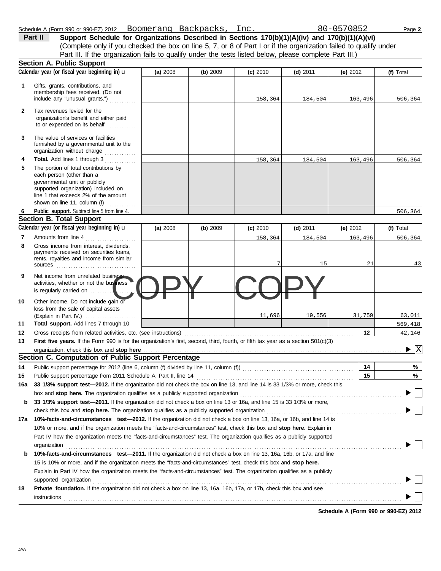|  | each nerson (other |  |
|--|--------------------|--|

**3**

**2**

**1**

**Section A. Public Support**

The value of services or facilities

Tax revenues levied for the

to or expended on its behalf ............ organization's benefit and either paid

include any "unusual grants.") . . . . . . . . . . . membership fees received. (Do not Gifts, grants, contributions, and

|     | furnished by a governmental unit to the<br>organization without charge                                                                                                                                                              |          |          |            |            |            |                                      |
|-----|-------------------------------------------------------------------------------------------------------------------------------------------------------------------------------------------------------------------------------------|----------|----------|------------|------------|------------|--------------------------------------|
| 4   | Total. Add lines 1 through 3                                                                                                                                                                                                        |          |          | 158,364    | 184,504    | 163,496    | 506,364                              |
| 5   | The portion of total contributions by                                                                                                                                                                                               |          |          |            |            |            |                                      |
|     | each person (other than a                                                                                                                                                                                                           |          |          |            |            |            |                                      |
|     | governmental unit or publicly                                                                                                                                                                                                       |          |          |            |            |            |                                      |
|     | supported organization) included on                                                                                                                                                                                                 |          |          |            |            |            |                                      |
|     | line 1 that exceeds 2% of the amount<br>shown on line 11, column (f)                                                                                                                                                                |          |          |            |            |            |                                      |
| 6   | . <b>.</b><br>Public support. Subtract line 5 from line 4.                                                                                                                                                                          |          |          |            |            |            | 506,364                              |
|     | <b>Section B. Total Support</b>                                                                                                                                                                                                     |          |          |            |            |            |                                      |
|     | Calendar year (or fiscal year beginning in) u                                                                                                                                                                                       | (a) 2008 | (b) 2009 | $(c)$ 2010 | $(d)$ 2011 | (e) $2012$ | (f) Total                            |
| 7   | Amounts from line 4                                                                                                                                                                                                                 |          |          | 158,364    | 184,504    | 163,496    | 506,364                              |
| 8   | Gross income from interest, dividends.                                                                                                                                                                                              |          |          |            |            |            |                                      |
|     | payments received on securities loans,                                                                                                                                                                                              |          |          |            |            |            |                                      |
|     | rents, royalties and income from similar                                                                                                                                                                                            |          |          |            | 15         | 21         | 43                                   |
|     | $sources$                                                                                                                                                                                                                           |          |          |            |            |            |                                      |
| 9   | Net income from unrelated business                                                                                                                                                                                                  |          |          |            |            |            |                                      |
|     | activities, whether or not the business                                                                                                                                                                                             |          |          |            |            |            |                                      |
|     | is regularly carried on !                                                                                                                                                                                                           |          |          |            |            |            |                                      |
| 10  | Other income. Do not include gain or                                                                                                                                                                                                |          |          |            |            |            |                                      |
|     | loss from the sale of capital assets                                                                                                                                                                                                |          |          | 11,696     |            | 31,759     | 63,011                               |
| 11  | (Explain in Part IV.) $\ldots$ $\ldots$ $\ldots$ $\ldots$ $\ldots$<br>Total support. Add lines 7 through 10                                                                                                                         |          |          |            | 19,556     |            |                                      |
| 12  |                                                                                                                                                                                                                                     |          |          |            |            | 12         | 569,418                              |
| 13  | First five years. If the Form 990 is for the organization's first, second, third, fourth, or fifth tax year as a section $501(c)(3)$                                                                                                |          |          |            |            |            | 42,146                               |
|     | organization, check this box and stop here                                                                                                                                                                                          |          |          |            |            |            | $\blacktriangleright$ $\overline{X}$ |
|     | Section C. Computation of Public Support Percentage                                                                                                                                                                                 |          |          |            |            |            |                                      |
| 14  | Public support percentage for 2012 (line 6, column (f) divided by line 11, column (f) [[[[[[[[[[[[[[[[[[[[[[[                                                                                                                       |          |          |            |            | 14         | %                                    |
| 15  |                                                                                                                                                                                                                                     |          |          |            |            | 15         | %                                    |
| 16a | 33 1/3% support test-2012. If the organization did not check the box on line 13, and line 14 is 33 1/3% or more, check this                                                                                                         |          |          |            |            |            |                                      |
|     | box and stop here. The organization qualifies as a publicly supported organization <b>conserved in the system</b> subsection on the conserved in the organization conserved in the conserved in the conserved in the conserved in t |          |          |            |            |            |                                      |
| b   | 33 1/3% support test—2011. If the organization did not check a box on line 13 or 16a, and line 15 is 33 1/3% or more,                                                                                                               |          |          |            |            |            |                                      |
|     |                                                                                                                                                                                                                                     |          |          |            |            |            |                                      |
| 17a | 10%-facts-and-circumstances test-2012. If the organization did not check a box on line 13, 16a, or 16b, and line 14 is                                                                                                              |          |          |            |            |            |                                      |
|     | 10% or more, and if the organization meets the "facts-and-circumstances" test, check this box and stop here. Explain in                                                                                                             |          |          |            |            |            |                                      |
|     | Part IV how the organization meets the "facts-and-circumstances" test. The organization qualifies as a publicly supported                                                                                                           |          |          |            |            |            |                                      |
|     | organization                                                                                                                                                                                                                        |          |          |            |            |            |                                      |
| b   | 10%-facts-and-circumstances test-2011. If the organization did not check a box on line 13, 16a, 16b, or 17a, and line                                                                                                               |          |          |            |            |            |                                      |
|     | 15 is 10% or more, and if the organization meets the "facts-and-circumstances" test, check this box and stop here.                                                                                                                  |          |          |            |            |            |                                      |
|     | Explain in Part IV how the organization meets the "facts-and-circumstances" test. The organization qualifies as a publicly                                                                                                          |          |          |            |            |            |                                      |
|     | supported organization contains and contains a supported organization contains a supported organization                                                                                                                             |          |          |            |            |            |                                      |
| 18  | <b>Private foundation.</b> If the organization did not check a box on line 13, 16a, 16b, 17a, or 17b, check this box and see                                                                                                        |          |          |            |            |            |                                      |
|     | instructions                                                                                                                                                                                                                        |          |          |            |            |            |                                      |

Schedule A (Form 990 or 990-EZ) 2012 Boomerang Backpacks, Inc. 2014 80-0570852 Page 2 (Complete only if you checked the box on line 5, 7, or 8 of Part I or if the organization failed to qualify under **Part II** Support Schedule for Organizations Described in Sections 170(b)(1)(A)(iv) and 170(b)(1)(A)(vi) Part III. If the organization fails to qualify under the tests listed below, please complete Part III.)

Calendar year (or fiscal year beginning in) **u (a)** 2008 **(b)** 2009 **(c)** 2010 **(d)** 2011 **(e)** 2012 **(f)** Total

**(a)** 2008 **(b)** 2009 **(c)** 2010 **(d)** 2011 **(e)** 2012

158,364 184,504 163,496 506,364

**Schedule A (Form 990 or 990-EZ) 2012**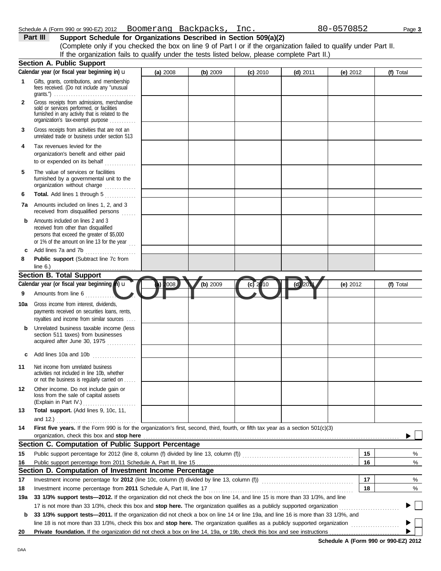|              | Schedule A (Form 990 or 990-EZ) 2012 Boomerang Backpacks, Inc.<br>Support Schedule for Organizations Described in Section 509(a)(2)<br>Part III                                                                                                                                                                                                                            |          |          |            |            | 80-0570852 |           | Page 3 |
|--------------|----------------------------------------------------------------------------------------------------------------------------------------------------------------------------------------------------------------------------------------------------------------------------------------------------------------------------------------------------------------------------|----------|----------|------------|------------|------------|-----------|--------|
|              | (Complete only if you checked the box on line 9 of Part I or if the organization failed to qualify under Part II.                                                                                                                                                                                                                                                          |          |          |            |            |            |           |        |
|              | If the organization fails to qualify under the tests listed below, please complete Part II.)<br><b>Section A. Public Support</b>                                                                                                                                                                                                                                           |          |          |            |            |            |           |        |
|              | Calendar year (or fiscal year beginning in) u                                                                                                                                                                                                                                                                                                                              | (a) 2008 | (b) 2009 | $(c)$ 2010 | $(d)$ 2011 | (e) $2012$ | (f) Total |        |
| 1            | Gifts, grants, contributions, and membership<br>fees received. (Do not include any "unusual                                                                                                                                                                                                                                                                                |          |          |            |            |            |           |        |
| $\mathbf{2}$ | Gross receipts from admissions, merchandise<br>sold or services performed, or facilities<br>furnished in any activity that is related to the<br>organization's tax-exempt purpose                                                                                                                                                                                          |          |          |            |            |            |           |        |
| 3            | Gross receipts from activities that are not an<br>unrelated trade or business under section 513                                                                                                                                                                                                                                                                            |          |          |            |            |            |           |        |
| 4            | Tax revenues levied for the<br>organization's benefit and either paid<br>to or expended on its behalf                                                                                                                                                                                                                                                                      |          |          |            |            |            |           |        |
| 5            | The value of services or facilities<br>furnished by a governmental unit to the<br>organization without charge                                                                                                                                                                                                                                                              |          |          |            |            |            |           |        |
| 6<br>7a      | Total. Add lines 1 through 5<br>Amounts included on lines 1, 2, and 3<br>received from disqualified persons                                                                                                                                                                                                                                                                |          |          |            |            |            |           |        |
| b            | Amounts included on lines 2 and 3<br>received from other than disqualified<br>persons that exceed the greater of \$5,000<br>or 1% of the amount on line 13 for the year $\ldots$                                                                                                                                                                                           |          |          |            |            |            |           |        |
| c<br>8       | Add lines 7a and 7b<br>Public support (Subtract line 7c from                                                                                                                                                                                                                                                                                                               |          |          |            |            |            |           |        |
|              | line 6.)                                                                                                                                                                                                                                                                                                                                                                   |          |          |            |            |            |           |        |
|              | <b>Section B. Total Support</b><br>Calendar year (or fiscal year beginning $(n)$ $\mathbf u$                                                                                                                                                                                                                                                                               | 008      | (b) 2009 |            | $(d)$ 201  |            |           |        |
| 9            | Amounts from line 6                                                                                                                                                                                                                                                                                                                                                        |          |          | $(c)$ 2010 |            | (e) $2012$ | (f) Total |        |
| 10a          | Gross income from interest, dividends,<br>payments received on securities loans, rents,<br>royalties and income from similar sources                                                                                                                                                                                                                                       |          |          |            |            |            |           |        |
|              | Unrelated business taxable income (less<br>section 511 taxes) from businesses<br>acquired after June 30, 1975                                                                                                                                                                                                                                                              |          |          |            |            |            |           |        |
| с            | Add lines 10a and 10b                                                                                                                                                                                                                                                                                                                                                      |          |          |            |            |            |           |        |
| 11           | Net income from unrelated business<br>activities not included in line 10b, whether<br>or not the business is regularly carried on                                                                                                                                                                                                                                          |          |          |            |            |            |           |        |
| 12           | Other income. Do not include gain or<br>loss from the sale of capital assets<br>(Explain in Part IV.)                                                                                                                                                                                                                                                                      |          |          |            |            |            |           |        |
| 13           | Total support. (Add lines 9, 10c, 11,                                                                                                                                                                                                                                                                                                                                      |          |          |            |            |            |           |        |
| 14           | First five years. If the Form 990 is for the organization's first, second, third, fourth, or fifth tax year as a section 501(c)(3)<br>organization, check this box and stop here <b>constant and a constant of the constant of the state of the state of the constant of the state of the constant of the state of the state of the constant of the state of the state</b> |          |          |            |            |            |           |        |
|              | Section C. Computation of Public Support Percentage                                                                                                                                                                                                                                                                                                                        |          |          |            |            |            |           |        |
| 15           | Public support percentage for 2012 (line 8, column (f) divided by line 13, column (f)<br>matrix (f) matrix (f) matrix (f) matrix (f) matrix (f) matrix (f) matrix (f) matrix (f) matrix (f) matrix (f)                                                                                                                                                                     |          |          |            |            | 15         |           | %      |
| 16           |                                                                                                                                                                                                                                                                                                                                                                            |          |          |            |            | 16         |           | %      |
|              | Section D. Computation of Investment Income Percentage                                                                                                                                                                                                                                                                                                                     |          |          |            |            |            |           |        |
| 17           |                                                                                                                                                                                                                                                                                                                                                                            |          |          |            |            | 17         |           | %      |
| 18           | Investment income percentage from 2011 Schedule A, Part III, line 17                                                                                                                                                                                                                                                                                                       |          |          |            |            | 18         |           | %      |
| 19a          | 33 1/3% support tests-2012. If the organization did not check the box on line 14, and line 15 is more than 33 1/3%, and line<br>17 is not more than 33 1/3%, check this box and stop here. The organization qualifies as a publicly supported organization                                                                                                                 |          |          |            |            |            |           |        |
| b            | 33 1/3% support tests—2011. If the organization did not check a box on line 14 or line 19a, and line 16 is more than 33 1/3%, and                                                                                                                                                                                                                                          |          |          |            |            |            |           |        |
|              |                                                                                                                                                                                                                                                                                                                                                                            |          |          |            |            |            |           |        |
| 20           | Private foundation. If the organization did not check a box on line 14, 19a, or 19b, check this box and see instructions                                                                                                                                                                                                                                                   |          |          |            |            |            |           |        |

**Schedule A (Form 990 or 990-EZ) 2012**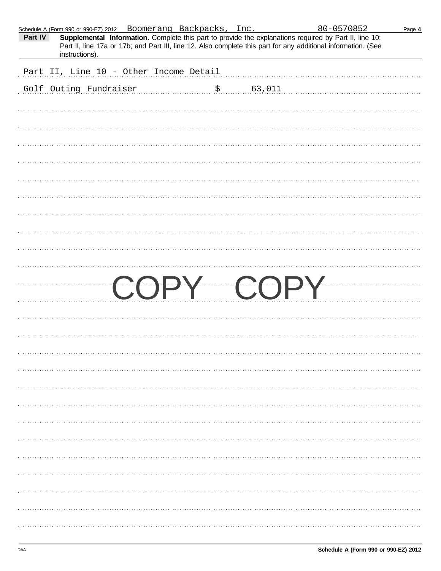|         | Schedule A (Form 990 or 990-EZ) 2012 Boomerang Backpacks, Inc. |                |        | 80-0570852                                                                                                                                                                                                              | Page 4 |
|---------|----------------------------------------------------------------|----------------|--------|-------------------------------------------------------------------------------------------------------------------------------------------------------------------------------------------------------------------------|--------|
| Part IV | instructions).                                                 |                |        | Supplemental Information. Complete this part to provide the explanations required by Part II, line 10;<br>Part II, line 17a or 17b; and Part III, line 12. Also complete this part for any additional information. (See |        |
|         | Part II, Line 10 - Other Income Detail                         |                |        |                                                                                                                                                                                                                         |        |
|         | Golf Outing Fundraiser                                         | $\mathsf{S}_1$ | 63,011 |                                                                                                                                                                                                                         |        |
|         |                                                                |                |        |                                                                                                                                                                                                                         |        |
|         |                                                                |                |        |                                                                                                                                                                                                                         |        |
|         |                                                                |                |        |                                                                                                                                                                                                                         |        |
|         |                                                                |                |        |                                                                                                                                                                                                                         |        |
|         |                                                                |                |        |                                                                                                                                                                                                                         |        |
|         |                                                                |                |        |                                                                                                                                                                                                                         |        |
|         |                                                                |                |        |                                                                                                                                                                                                                         |        |
|         |                                                                |                |        |                                                                                                                                                                                                                         |        |
|         |                                                                |                |        |                                                                                                                                                                                                                         |        |
|         |                                                                |                |        |                                                                                                                                                                                                                         |        |
|         |                                                                |                |        | COPY COPY                                                                                                                                                                                                               |        |
|         |                                                                |                |        |                                                                                                                                                                                                                         |        |
|         |                                                                |                |        |                                                                                                                                                                                                                         |        |
|         |                                                                |                |        |                                                                                                                                                                                                                         |        |
|         |                                                                |                |        |                                                                                                                                                                                                                         |        |
|         |                                                                |                |        |                                                                                                                                                                                                                         |        |
|         |                                                                |                |        |                                                                                                                                                                                                                         |        |
|         |                                                                |                |        |                                                                                                                                                                                                                         |        |
|         |                                                                |                |        |                                                                                                                                                                                                                         |        |
|         |                                                                |                |        |                                                                                                                                                                                                                         |        |
|         |                                                                |                |        |                                                                                                                                                                                                                         |        |
|         |                                                                |                |        |                                                                                                                                                                                                                         |        |
|         |                                                                |                |        |                                                                                                                                                                                                                         |        |
|         |                                                                |                |        |                                                                                                                                                                                                                         |        |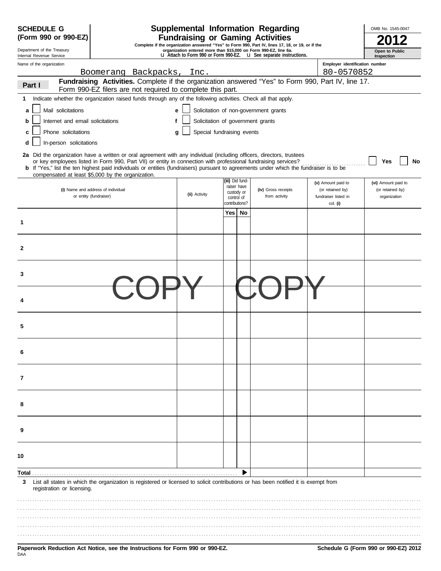| <b>SCHEDULE G</b>                                      |                                                                                                                                                                                                                                                                                                                                                                                          |               |                                                           | <b>Supplemental Information Regarding</b>                                                                                                           |                                                                            | OMB No. 1545-0047                                       |
|--------------------------------------------------------|------------------------------------------------------------------------------------------------------------------------------------------------------------------------------------------------------------------------------------------------------------------------------------------------------------------------------------------------------------------------------------------|---------------|-----------------------------------------------------------|-----------------------------------------------------------------------------------------------------------------------------------------------------|----------------------------------------------------------------------------|---------------------------------------------------------|
| (Form 990 or 990-EZ)                                   |                                                                                                                                                                                                                                                                                                                                                                                          |               |                                                           | <b>Fundraising or Gaming Activities</b><br>Complete if the organization answered "Yes" to Form 990, Part IV, lines 17, 18, or 19, or if the         |                                                                            |                                                         |
| Department of the Treasury<br>Internal Revenue Service |                                                                                                                                                                                                                                                                                                                                                                                          |               |                                                           | organization entered more than \$15,000 on Form 990-EZ, line 6a.<br><b>u</b> Attach to Form 990 or Form 990-EZ. <b>u</b> See separate instructions. |                                                                            | Open to Public<br>Inspection                            |
| Name of the organization                               |                                                                                                                                                                                                                                                                                                                                                                                          |               |                                                           |                                                                                                                                                     | Employer identification number                                             |                                                         |
|                                                        | Boomerang Backpacks,                                                                                                                                                                                                                                                                                                                                                                     | Inc.          |                                                           |                                                                                                                                                     | 80-0570852                                                                 |                                                         |
| Part I                                                 | Fundraising Activities. Complete if the organization answered "Yes" to Form 990, Part IV, line 17.<br>Form 990-EZ filers are not required to complete this part.                                                                                                                                                                                                                         |               |                                                           |                                                                                                                                                     |                                                                            |                                                         |
| 1                                                      | Indicate whether the organization raised funds through any of the following activities. Check all that apply.                                                                                                                                                                                                                                                                            |               |                                                           |                                                                                                                                                     |                                                                            |                                                         |
| Mail solicitations<br>a                                | е                                                                                                                                                                                                                                                                                                                                                                                        |               |                                                           | Solicitation of non-government grants                                                                                                               |                                                                            |                                                         |
| Internet and email solicitations<br>b                  | f                                                                                                                                                                                                                                                                                                                                                                                        |               | Solicitation of government grants                         |                                                                                                                                                     |                                                                            |                                                         |
| Phone solicitations<br>с                               | a                                                                                                                                                                                                                                                                                                                                                                                        |               | Special fundraising events                                |                                                                                                                                                     |                                                                            |                                                         |
| In-person solicitations<br>d                           |                                                                                                                                                                                                                                                                                                                                                                                          |               |                                                           |                                                                                                                                                     |                                                                            |                                                         |
|                                                        | 2a Did the organization have a written or oral agreement with any individual (including officers, directors, trustees<br>or key employees listed in Form 990, Part VII) or entity in connection with professional fundraising services?<br><b>b</b> If "Yes," list the ten highest paid individuals or entities (fundraisers) pursuant to agreements under which the fundraiser is to be |               |                                                           |                                                                                                                                                     |                                                                            | No<br>Yes                                               |
|                                                        | compensated at least \$5,000 by the organization.                                                                                                                                                                                                                                                                                                                                        |               | (iii) Did fund-                                           |                                                                                                                                                     |                                                                            |                                                         |
|                                                        | (i) Name and address of individual<br>or entity (fundraiser)                                                                                                                                                                                                                                                                                                                             | (ii) Activity | raiser have<br>custody or<br>control of<br>contributions? | (iv) Gross receipts<br>from activity                                                                                                                | (v) Amount paid to<br>(or retained by)<br>fundraiser listed in<br>col. (i) | (vi) Amount paid to<br>(or retained by)<br>organization |
| 1                                                      |                                                                                                                                                                                                                                                                                                                                                                                          |               | Yes  <br>No                                               |                                                                                                                                                     |                                                                            |                                                         |
| 2                                                      |                                                                                                                                                                                                                                                                                                                                                                                          |               |                                                           |                                                                                                                                                     |                                                                            |                                                         |
| 3                                                      |                                                                                                                                                                                                                                                                                                                                                                                          |               |                                                           |                                                                                                                                                     |                                                                            |                                                         |
|                                                        |                                                                                                                                                                                                                                                                                                                                                                                          |               |                                                           |                                                                                                                                                     |                                                                            |                                                         |
| 5                                                      |                                                                                                                                                                                                                                                                                                                                                                                          |               |                                                           |                                                                                                                                                     |                                                                            |                                                         |
|                                                        |                                                                                                                                                                                                                                                                                                                                                                                          |               |                                                           |                                                                                                                                                     |                                                                            |                                                         |
| 7                                                      |                                                                                                                                                                                                                                                                                                                                                                                          |               |                                                           |                                                                                                                                                     |                                                                            |                                                         |
|                                                        |                                                                                                                                                                                                                                                                                                                                                                                          |               |                                                           |                                                                                                                                                     |                                                                            |                                                         |
| 9                                                      |                                                                                                                                                                                                                                                                                                                                                                                          |               |                                                           |                                                                                                                                                     |                                                                            |                                                         |
| 10                                                     |                                                                                                                                                                                                                                                                                                                                                                                          |               |                                                           |                                                                                                                                                     |                                                                            |                                                         |
| Total                                                  |                                                                                                                                                                                                                                                                                                                                                                                          |               |                                                           |                                                                                                                                                     |                                                                            |                                                         |
| 3<br>registration or licensing.                        | List all states in which the organization is registered or licensed to solicit contributions or has been notified it is exempt from                                                                                                                                                                                                                                                      |               |                                                           |                                                                                                                                                     |                                                                            |                                                         |
|                                                        |                                                                                                                                                                                                                                                                                                                                                                                          |               |                                                           |                                                                                                                                                     |                                                                            |                                                         |
|                                                        |                                                                                                                                                                                                                                                                                                                                                                                          |               |                                                           |                                                                                                                                                     |                                                                            |                                                         |
|                                                        |                                                                                                                                                                                                                                                                                                                                                                                          |               |                                                           |                                                                                                                                                     |                                                                            |                                                         |
|                                                        |                                                                                                                                                                                                                                                                                                                                                                                          |               |                                                           |                                                                                                                                                     |                                                                            |                                                         |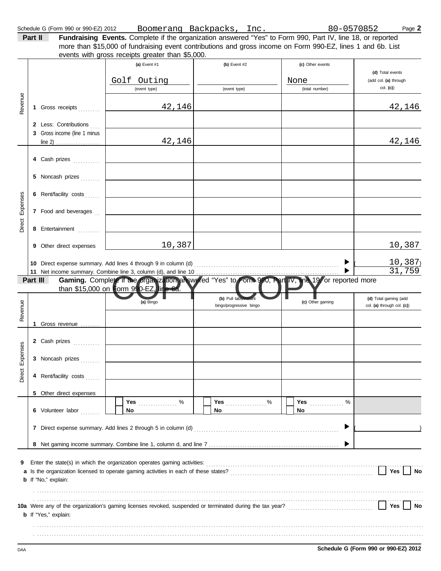| Part II | <b>Fundraising Events.</b> Complete if the organization answered "Yes" to Form 990, Part IV, line 18, or reported |  |  |
|---------|-------------------------------------------------------------------------------------------------------------------|--|--|
|         | more than \$15,000 of fundraising event contributions and gross income on Form 990-EZ, lines 1 and 6b. List       |  |  |
|         | events with gross receipts greater than \$5,000.                                                                  |  |  |
|         |                                                                                                                   |  |  |

|          |          |                                | (a) Event #1                                                          | (b) Event $#2$          | (c) Other events            |                                      |
|----------|----------|--------------------------------|-----------------------------------------------------------------------|-------------------------|-----------------------------|--------------------------------------|
|          |          |                                |                                                                       |                         |                             | (d) Total events                     |
|          |          |                                | Golf Outing<br>(event type)                                           | (event type)            | None<br>(total number)      | (add col. (a) through<br>col. (c)    |
|          |          |                                |                                                                       |                         |                             |                                      |
| Revenue  |          | 1 Gross receipts               | 42,146                                                                |                         |                             | 42,146                               |
|          |          | 2 Less: Contributions          |                                                                       |                         |                             |                                      |
|          |          | 3 Gross income (line 1 minus   |                                                                       |                         |                             |                                      |
|          |          |                                | 42,146                                                                |                         |                             | 42,146                               |
|          |          | 4 Cash prizes                  |                                                                       |                         |                             |                                      |
|          |          | 5 Noncash prizes               |                                                                       |                         |                             |                                      |
|          |          | 6 Rent/facility costs          |                                                                       |                         |                             |                                      |
| Expenses |          | 7 Food and beverages           |                                                                       |                         |                             |                                      |
| Direct   |          |                                |                                                                       |                         |                             |                                      |
|          |          | 8 Entertainment                |                                                                       |                         |                             |                                      |
|          |          | <b>9</b> Other direct expenses | 10,387                                                                |                         |                             | 10,387                               |
|          |          |                                |                                                                       |                         |                             |                                      |
|          |          |                                | 10 Direct expense summary. Add lines 4 through 9 in column (d)        |                         |                             | <u>10,387)</u><br>31,759             |
|          | Part III |                                | Gaming. Complete if the organization answered "Yes" to Form 990, Part |                         | IV, the 19 or reported more |                                      |
|          |          |                                | than \$15,000 on Form 990-EZ, line 6a.                                |                         |                             |                                      |
|          |          |                                | (a) Bingo                                                             | (b) Pull tabs           | (c) Other gaming            | (d) Total gaming (add                |
| Revenue  |          |                                |                                                                       | bingo/progressive bingo |                             | col. (a) through col. (c))           |
|          |          | 1 Gross revenue $\ldots$       |                                                                       |                         |                             |                                      |
|          |          |                                |                                                                       |                         |                             |                                      |
|          |          | 2 Cash prizes                  |                                                                       |                         |                             |                                      |
| Expenses |          |                                |                                                                       |                         |                             |                                      |
|          |          | 3 Noncash prizes               |                                                                       |                         |                             |                                      |
| Direct   |          | 4 Rent/facility costs          |                                                                       |                         |                             |                                      |
|          |          |                                |                                                                       |                         |                             |                                      |
|          |          | 5 Other direct expenses        | $\%$<br>Yes                                                           | Yes<br>$\%$             | Yes<br>%                    |                                      |
|          |          | 6 Volunteer labor              | No                                                                    | No                      | No                          |                                      |
|          |          |                                |                                                                       |                         |                             |                                      |
|          |          |                                |                                                                       |                         | ▶                           |                                      |
|          |          |                                |                                                                       |                         |                             |                                      |
|          |          |                                |                                                                       |                         |                             |                                      |
| 9        |          |                                |                                                                       |                         |                             |                                      |
|          |          |                                |                                                                       |                         |                             | Yes<br>No                            |
|          |          | <b>b</b> If "No," explain:     |                                                                       |                         |                             |                                      |
|          |          |                                |                                                                       |                         |                             |                                      |
|          |          |                                |                                                                       |                         |                             | Yes<br>No                            |
|          |          | <b>b</b> If "Yes," explain:    |                                                                       |                         |                             |                                      |
|          |          |                                |                                                                       |                         |                             |                                      |
|          |          |                                |                                                                       |                         |                             |                                      |
| DAA      |          |                                |                                                                       |                         |                             | Schedule G (Form 990 or 990-EZ) 2012 |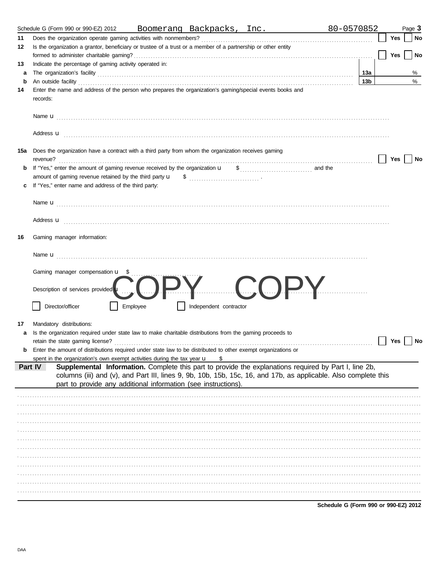|         | Schedule G (Form 990 or 990-EZ) 2012                                                                                                                                                                                                                                                                                                             |          |                        | Boomerang Backpacks, Inc. | 80-0570852 |                 | Page 3           |
|---------|--------------------------------------------------------------------------------------------------------------------------------------------------------------------------------------------------------------------------------------------------------------------------------------------------------------------------------------------------|----------|------------------------|---------------------------|------------|-----------------|------------------|
| 11      | Does the organization operate gaming activities with nonmembers?                                                                                                                                                                                                                                                                                 |          |                        |                           |            |                 | Yes<br>No        |
| 12      | Is the organization a grantor, beneficiary or trustee of a trust or a member of a partnership or other entity                                                                                                                                                                                                                                    |          |                        |                           |            |                 |                  |
|         |                                                                                                                                                                                                                                                                                                                                                  |          |                        |                           |            |                 | No<br>Yes        |
| 13<br>a | Indicate the percentage of gaming activity operated in:                                                                                                                                                                                                                                                                                          |          |                        |                           |            | 13a             | %                |
| b       |                                                                                                                                                                                                                                                                                                                                                  |          |                        |                           |            | 13 <sub>b</sub> | %                |
| 14      | An outside facility <b>contract and the contract of the contract of the contract of the contract of the contract of the contract of the contract of the contract of the contract of the contract of the contract of the contract</b><br>Enter the name and address of the person who prepares the organization's gaming/special events books and |          |                        |                           |            |                 |                  |
|         | records:                                                                                                                                                                                                                                                                                                                                         |          |                        |                           |            |                 |                  |
|         |                                                                                                                                                                                                                                                                                                                                                  |          |                        |                           |            |                 |                  |
|         | Address <b>u</b>                                                                                                                                                                                                                                                                                                                                 |          |                        |                           |            |                 |                  |
|         | 15a Does the organization have a contract with a third party from whom the organization receives gaming                                                                                                                                                                                                                                          |          |                        |                           |            |                 | Yes<br>No        |
| b       |                                                                                                                                                                                                                                                                                                                                                  |          |                        |                           |            |                 |                  |
|         |                                                                                                                                                                                                                                                                                                                                                  |          |                        |                           |            |                 |                  |
|         | If "Yes," enter name and address of the third party:                                                                                                                                                                                                                                                                                             |          |                        |                           |            |                 |                  |
|         |                                                                                                                                                                                                                                                                                                                                                  |          |                        |                           |            |                 |                  |
|         | Address <b>u</b>                                                                                                                                                                                                                                                                                                                                 |          |                        |                           |            |                 |                  |
| 16      | Gaming manager information:                                                                                                                                                                                                                                                                                                                      |          |                        |                           |            |                 |                  |
|         |                                                                                                                                                                                                                                                                                                                                                  |          |                        |                           |            |                 |                  |
|         |                                                                                                                                                                                                                                                                                                                                                  |          |                        |                           |            |                 |                  |
|         | Gaming manager compensation <b>u</b> \$                                                                                                                                                                                                                                                                                                          |          |                        |                           |            |                 |                  |
|         | Description of services provided <b>u</b>                                                                                                                                                                                                                                                                                                        |          |                        |                           |            |                 |                  |
|         | Director/officer                                                                                                                                                                                                                                                                                                                                 | Employee | Independent contractor |                           |            |                 |                  |
|         |                                                                                                                                                                                                                                                                                                                                                  |          |                        |                           |            |                 |                  |
| 17<br>a | Mandatory distributions:<br>Is the organization required under state law to make charitable distributions from the gaming proceeds to                                                                                                                                                                                                            |          |                        |                           |            |                 |                  |
|         | retain the state gaming license?                                                                                                                                                                                                                                                                                                                 |          |                        |                           |            |                 | <b>Yes</b><br>No |
| b       | Enter the amount of distributions required under state law to be distributed to other exempt organizations or                                                                                                                                                                                                                                    |          |                        |                           |            |                 |                  |
|         | spent in the organization's own exempt activities during the tax year u                                                                                                                                                                                                                                                                          |          | \$                     |                           |            |                 |                  |
|         | Supplemental Information. Complete this part to provide the explanations required by Part I, line 2b,<br>Part IV<br>columns (iii) and (v), and Part III, lines 9, 9b, 10b, 15b, 15c, 16, and 17b, as applicable. Also complete this<br>part to provide any additional information (see instructions).                                            |          |                        |                           |            |                 |                  |
|         |                                                                                                                                                                                                                                                                                                                                                  |          |                        |                           |            |                 |                  |
|         |                                                                                                                                                                                                                                                                                                                                                  |          |                        |                           |            |                 |                  |
|         |                                                                                                                                                                                                                                                                                                                                                  |          |                        |                           |            |                 |                  |
|         |                                                                                                                                                                                                                                                                                                                                                  |          |                        |                           |            |                 |                  |
|         |                                                                                                                                                                                                                                                                                                                                                  |          |                        |                           |            |                 |                  |
|         |                                                                                                                                                                                                                                                                                                                                                  |          |                        |                           |            |                 |                  |
|         |                                                                                                                                                                                                                                                                                                                                                  |          |                        |                           |            |                 |                  |
|         |                                                                                                                                                                                                                                                                                                                                                  |          |                        |                           |            |                 |                  |
|         |                                                                                                                                                                                                                                                                                                                                                  |          |                        |                           |            |                 |                  |
|         |                                                                                                                                                                                                                                                                                                                                                  |          |                        |                           |            |                 |                  |
|         |                                                                                                                                                                                                                                                                                                                                                  |          |                        |                           |            |                 |                  |
|         |                                                                                                                                                                                                                                                                                                                                                  |          |                        |                           |            |                 |                  |

Schedule G (Form 990 or 990-EZ) 2012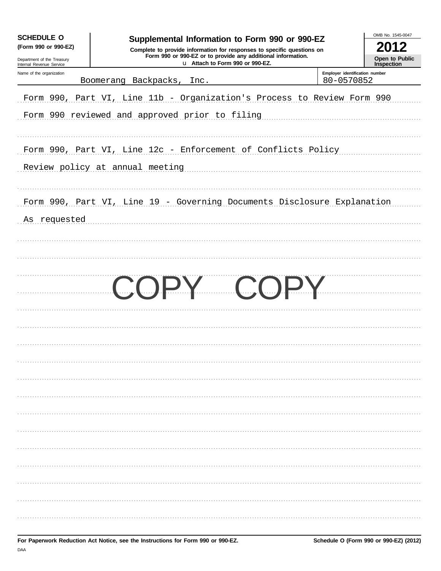| <b>SCHEDULE O</b><br>(Form 990 or 990-EZ)<br>Department of the Treasury<br>Internal Revenue Service | Supplemental Information to Form 990 or 990-EZ<br>Complete to provide information for responses to specific questions on<br>Form 990 or 990-EZ or to provide any additional information.<br>u Attach to Form 990 or 990-EZ. |                                              | OMB No. 1545-0047<br>2012<br>Open to Public<br><b>Inspection</b> |
|-----------------------------------------------------------------------------------------------------|-----------------------------------------------------------------------------------------------------------------------------------------------------------------------------------------------------------------------------|----------------------------------------------|------------------------------------------------------------------|
| Name of the organization                                                                            | Boomerang Backpacks, Inc.                                                                                                                                                                                                   | Employer identification number<br>80-0570852 |                                                                  |
|                                                                                                     | Form 990, Part VI, Line 11b - Organization's Process to Review Form 990<br>Form 990 reviewed and approved prior to filing                                                                                                   |                                              |                                                                  |
|                                                                                                     | Form 990, Part VI, Line 12c - Enforcement of Conflicts Policy<br>Review policy at annual meeting                                                                                                                            |                                              |                                                                  |
| As requested                                                                                        | Form 990, Part VI, Line 19 - Governing Documents Disclosure Explanation                                                                                                                                                     |                                              |                                                                  |
|                                                                                                     | COPY COPY                                                                                                                                                                                                                   |                                              |                                                                  |
|                                                                                                     |                                                                                                                                                                                                                             |                                              |                                                                  |
|                                                                                                     |                                                                                                                                                                                                                             |                                              |                                                                  |
|                                                                                                     |                                                                                                                                                                                                                             |                                              |                                                                  |
|                                                                                                     |                                                                                                                                                                                                                             |                                              |                                                                  |
|                                                                                                     |                                                                                                                                                                                                                             |                                              |                                                                  |
|                                                                                                     |                                                                                                                                                                                                                             |                                              |                                                                  |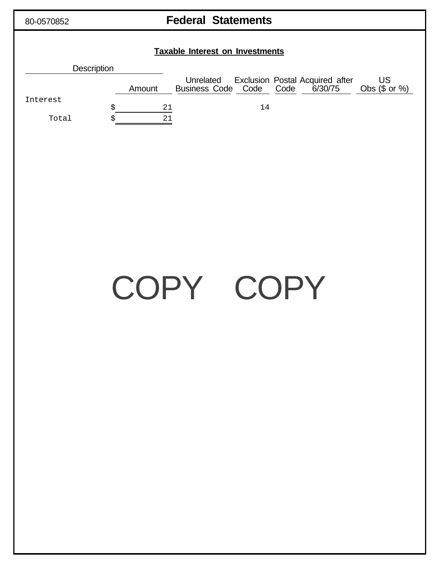| 80-0570852        | <b>Federal Statements</b>                                                                                                                                                                  |
|-------------------|--------------------------------------------------------------------------------------------------------------------------------------------------------------------------------------------|
|                   | <b>Taxable Interest on Investments</b>                                                                                                                                                     |
|                   | <b>Description</b>                                                                                                                                                                         |
| Interest<br>Total | Unrelated Exclusion Postal Acquired after<br>Business Code Code Code 6/30/75<br>US<br>Obs $($ or  %)$<br>Amount<br>$\boldsymbol{\dot{S}}$<br>14<br>$\frac{21}{1}$<br>$\overline{21}$<br>\$ |
|                   |                                                                                                                                                                                            |
|                   | COPY COPY                                                                                                                                                                                  |
|                   |                                                                                                                                                                                            |
|                   |                                                                                                                                                                                            |
|                   |                                                                                                                                                                                            |
|                   |                                                                                                                                                                                            |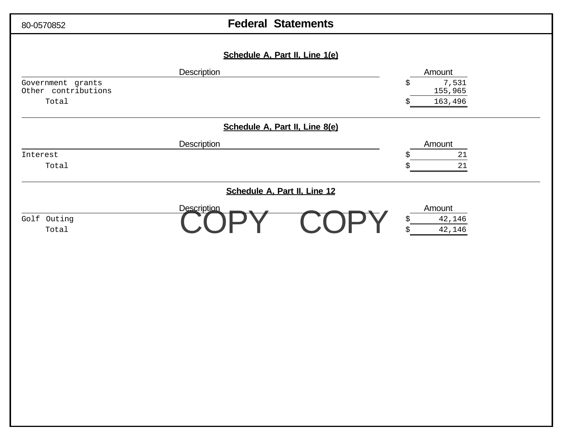| 80-0570852                                        | <b>Federal Statements</b>      |  |                                                   |  |  |  |
|---------------------------------------------------|--------------------------------|--|---------------------------------------------------|--|--|--|
|                                                   | Schedule A, Part II, Line 1(e) |  |                                                   |  |  |  |
| Government grants<br>Other contributions<br>Total | Description                    |  | Amount<br>7,531<br>\$<br>155,965<br>163,496<br>\$ |  |  |  |
|                                                   | Schedule A, Part II, Line 8(e) |  |                                                   |  |  |  |
| Interest<br>Total                                 | Description                    |  | Amount<br>$21\,$<br>\$<br>21<br>\$                |  |  |  |
|                                                   | Schedule A, Part II, Line 12   |  |                                                   |  |  |  |
| Golf Outing<br>Total                              | Description                    |  | Amount<br>42,146<br>\$<br>$\tilde{S}$<br>42,146   |  |  |  |
|                                                   |                                |  |                                                   |  |  |  |
|                                                   |                                |  |                                                   |  |  |  |
|                                                   |                                |  |                                                   |  |  |  |
|                                                   |                                |  |                                                   |  |  |  |
|                                                   |                                |  |                                                   |  |  |  |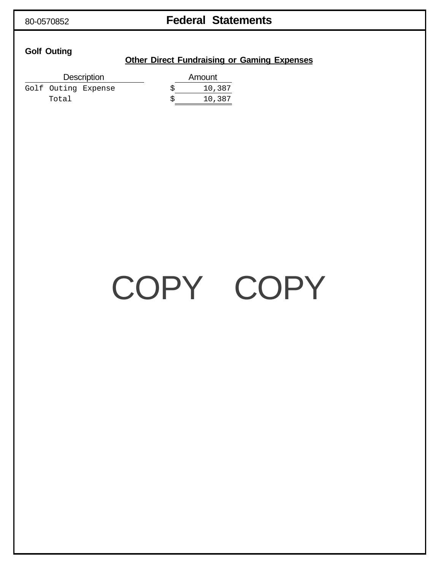## 80-0570852 **Federal Statements**

## **Golf Outing**

### **Other Direct Fundraising or Gaming Expenses**

| <b>Description</b>  | Amount |
|---------------------|--------|
| Golf Outing Expense | 10,387 |
| Total               | 10,387 |

# COPY COPY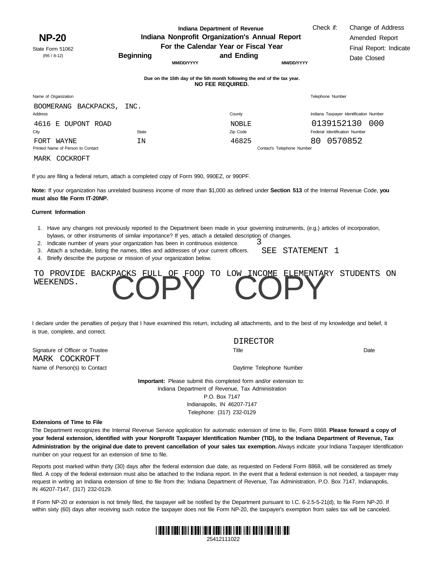**Indiana Department of Revenue Indiana Nonprofit Organization's Annual Report For the Calendar Year or Fiscal Year**

**Beginning and Ending**

**MM/DD/YYYY**

**MM/DD/YYYY**

Check if: Change of Address Amended Report Final Report: Indicate Date Closed

State Form 51062 (R6 / 8-12)

| Due on the 15th day of the 5th month following the end of the tax year. |
|-------------------------------------------------------------------------|
| NO FEE REQUIRED.                                                        |

| Name of Organization              |                           |       |                            |    | Telephone Number                       |     |
|-----------------------------------|---------------------------|-------|----------------------------|----|----------------------------------------|-----|
| Address                           | BOOMERANG BACKPACKS, INC. |       | County                     |    | Indiana Taxpayer Identification Number |     |
|                                   | 4616 E DUPONT ROAD        |       | <b>NOBLE</b>               |    | 0139152130                             | 000 |
| City                              |                           | State | Zip Code                   |    | Federal Identification Number          |     |
| WAYNE<br>FORT                     |                           | ΙN    | 46825                      | 80 | 0570852                                |     |
| Printed Name of Person to Contact |                           |       | Contact's Telephone Number |    |                                        |     |
| MARK                              | COCKROFT                  |       |                            |    |                                        |     |

If you are filing a federal return, attach a completed copy of Form 990, 990EZ, or 990PF.

**Note:** If your organization has unrelated business income of more than \$1,000 as defined under **Section 513** of the Internal Revenue Code, **you must also file Form IT-20NP.**

### **Current Information**

- 1. Have any changes not previously reported to the Department been made in your governing instruments, (e.g.) articles of incorporation, bylaws, or other instruments of similar importance? If yes, attach a detailed description of changes. 3
- 2. Indicate number of years your organization has been in continuous existence.
- 3. Attach a schedule, listing the names, titles and addresses of your current officers. SEE STATEMENT 1
- 4. Briefly describe the purpose or mission of your organization below.



I declare under the penalties of perjury that I have examined this return, including all attachments, and to the best of my knowledge and belief, it is true, complete, and correct.

Signature of Officer or Trustee Name of Person(s) to Contact **Daytime Telephone Number** Daytime Telephone Number MARK COCKROFT

DIRECTOR

Title Date

**Important:** Please submit this completed form and/or extension to: Indiana Department of Revenue, Tax Administration P.O. Box 7147 Indianapolis, IN 46207-7147 Telephone: (317) 232-0129

#### **Extensions of Time to File**

The Department recognizes the Internal Revenue Service application for automatic extension of time to file, Form 8868. **Please forward a copy of your federal extension, identified with your Nonprofit Taxpayer Identification Number (TID), to the Indiana Department of Revenue, Tax Administration by the original due date to prevent cancellation of your sales tax exemption.** Always indicate your Indiana Taxpayer Identification number on your request for an extension of time to file.

Reports post marked within thirty (30) days after the federal extension due date, as requested on Federal Form 8868, will be considered as timely filed. A copy of the federal extension must also be attached to the Indiana report. In the event that a federal extension is not needed, a taxpayer may request in writing an Indiana extension of time to file from the: Indiana Department of Revenue, Tax Administration, P.O. Box 7147, Indianapolis, IN 46207-7147, (317) 232-0129.

within sixty (60) days after receiving such notice the taxpayer does not file Form NP-20, the taxpayer's exemption from sales tax will be canceled. If Form NP-20 or extension is not timely filed, the taxpayer will be notified by the Department pursuant to I.C. 6-2.5-5-21(d), to file Form NP-20. If



25412111022